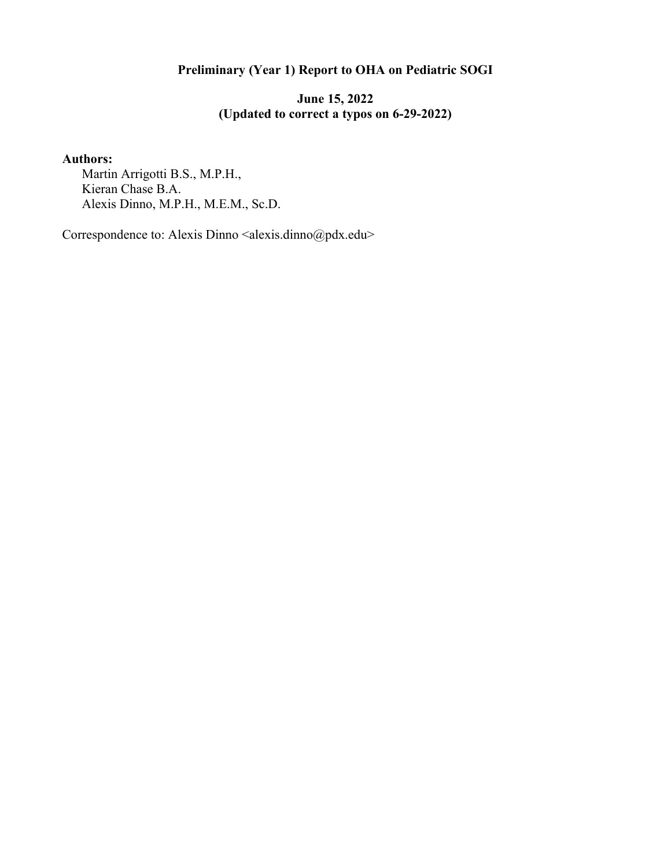# **Preliminary (Year 1) Report to OHA on Pediatric SOGI**

# **June 15, 2022 (Updated to correct a typos on 6-29-2022)**

# **Authors:**

Martin Arrigotti B.S., M.P.H., Kieran Chase B.A. Alexis Dinno, M.P.H., M.E.M., Sc.D.

Correspondence to: Alexis Dinno <alexis.dinno@pdx.edu>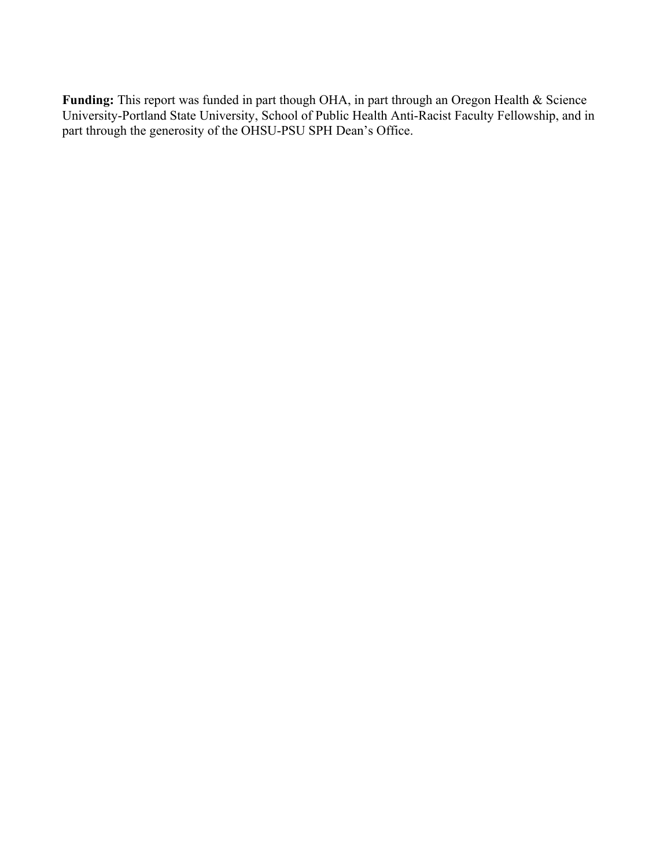**Funding:** This report was funded in part though OHA, in part through an Oregon Health & Science University-Portland State University, School of Public Health Anti-Racist Faculty Fellowship, and in part through the generosity of the OHSU-PSU SPH Dean's Office.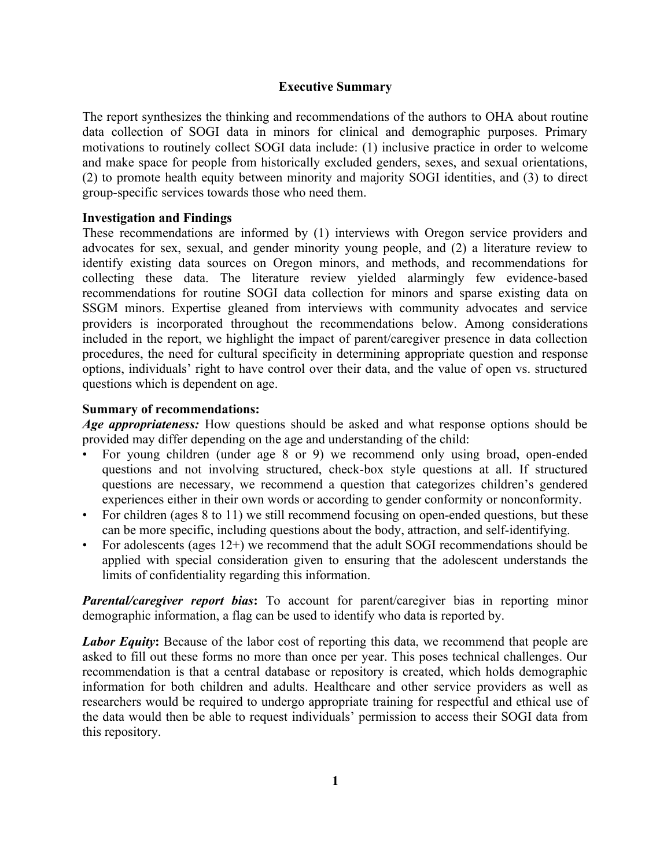# **Executive Summary**

The report synthesizes the thinking and recommendations of the authors to OHA about routine data collection of SOGI data in minors for clinical and demographic purposes. Primary motivations to routinely collect SOGI data include: (1) inclusive practice in order to welcome and make space for people from historically excluded genders, sexes, and sexual orientations, (2) to promote health equity between minority and majority SOGI identities, and (3) to direct group-specific services towards those who need them.

# **Investigation and Findings**

These recommendations are informed by (1) interviews with Oregon service providers and advocates for sex, sexual, and gender minority young people, and (2) a literature review to identify existing data sources on Oregon minors, and methods, and recommendations for collecting these data. The literature review yielded alarmingly few evidence-based recommendations for routine SOGI data collection for minors and sparse existing data on SSGM minors. Expertise gleaned from interviews with community advocates and service providers is incorporated throughout the recommendations below. Among considerations included in the report, we highlight the impact of parent/caregiver presence in data collection procedures, the need for cultural specificity in determining appropriate question and response options, individuals' right to have control over their data, and the value of open vs. structured questions which is dependent on age.

# **Summary of recommendations:**

*Age appropriateness:* How questions should be asked and what response options should be provided may differ depending on the age and understanding of the child:

- For young children (under age 8 or 9) we recommend only using broad, open-ended questions and not involving structured, check-box style questions at all. If structured questions are necessary, we recommend a question that categorizes children's gendered experiences either in their own words or according to gender conformity or nonconformity.
- For children (ages 8 to 11) we still recommend focusing on open-ended questions, but these can be more specific, including questions about the body, attraction, and self-identifying.
- For adolescents (ages 12+) we recommend that the adult SOGI recommendations should be applied with special consideration given to ensuring that the adolescent understands the limits of confidentiality regarding this information.

*Parental/caregiver report bias*: To account for parent/caregiver bias in reporting minor demographic information, a flag can be used to identify who data is reported by.

**Labor Equity:** Because of the labor cost of reporting this data, we recommend that people are asked to fill out these forms no more than once per year. This poses technical challenges. Our recommendation is that a central database or repository is created, which holds demographic information for both children and adults. Healthcare and other service providers as well as researchers would be required to undergo appropriate training for respectful and ethical use of the data would then be able to request individuals' permission to access their SOGI data from this repository.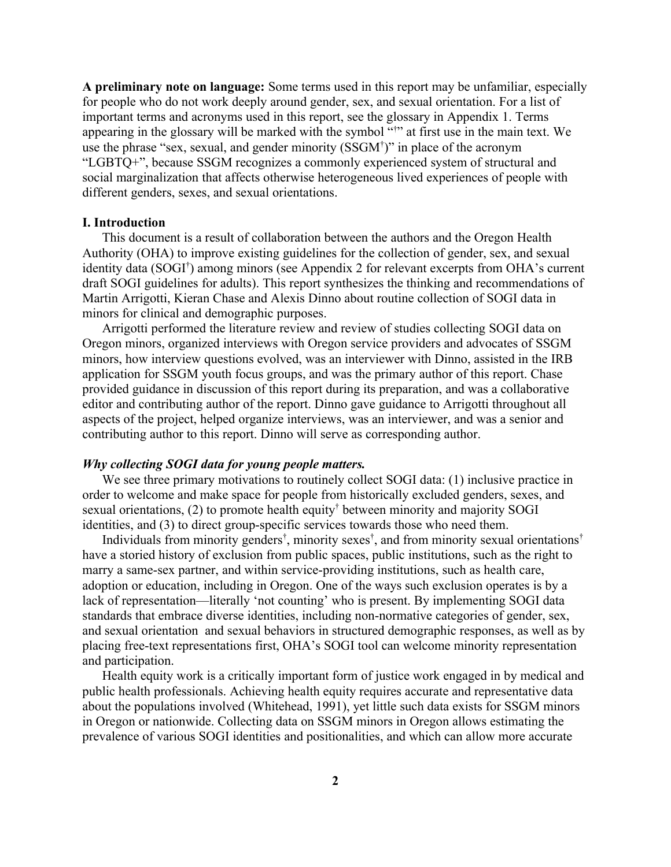**A preliminary note on language:** Some terms used in this report may be unfamiliar, especially for people who do not work deeply around gender, sex, and sexual orientation. For a list of important terms and acronyms used in this report, see the glossary in Appendix 1. Terms appearing in the glossary will be marked with the symbol "† " at first use in the main text. We use the phrase "sex, sexual, and gender minority (SSGM† )" in place of the acronym "LGBTQ+", because SSGM recognizes a commonly experienced system of structural and social marginalization that affects otherwise heterogeneous lived experiences of people with different genders, sexes, and sexual orientations.

### **I. Introduction**

This document is a result of collaboration between the authors and the Oregon Health Authority (OHA) to improve existing guidelines for the collection of gender, sex, and sexual identity data (SOGI† ) among minors (see Appendix 2 for relevant excerpts from OHA's current draft SOGI guidelines for adults). This report synthesizes the thinking and recommendations of Martin Arrigotti, Kieran Chase and Alexis Dinno about routine collection of SOGI data in minors for clinical and demographic purposes.

Arrigotti performed the literature review and review of studies collecting SOGI data on Oregon minors, organized interviews with Oregon service providers and advocates of SSGM minors, how interview questions evolved, was an interviewer with Dinno, assisted in the IRB application for SSGM youth focus groups, and was the primary author of this report. Chase provided guidance in discussion of this report during its preparation, and was a collaborative editor and contributing author of the report. Dinno gave guidance to Arrigotti throughout all aspects of the project, helped organize interviews, was an interviewer, and was a senior and contributing author to this report. Dinno will serve as corresponding author.

# *Why collecting SOGI data for young people matters.*

We see three primary motivations to routinely collect SOGI data: (1) inclusive practice in order to welcome and make space for people from historically excluded genders, sexes, and sexual orientations, (2) to promote health equity<sup>†</sup> between minority and majority SOGI identities, and (3) to direct group-specific services towards those who need them.

Individuals from minority genders<sup>†</sup>, minority sexes<sup>†</sup>, and from minority sexual orientations<sup>†</sup> have a storied history of exclusion from public spaces, public institutions, such as the right to marry a same-sex partner, and within service-providing institutions, such as health care, adoption or education, including in Oregon. One of the ways such exclusion operates is by a lack of representation—literally 'not counting' who is present. By implementing SOGI data standards that embrace diverse identities, including non-normative categories of gender, sex, and sexual orientation and sexual behaviors in structured demographic responses, as well as by placing free-text representations first, OHA's SOGI tool can welcome minority representation and participation.

Health equity work is a critically important form of justice work engaged in by medical and public health professionals. Achieving health equity requires accurate and representative data about the populations involved (Whitehead, 1991), yet little such data exists for SSGM minors in Oregon or nationwide. Collecting data on SSGM minors in Oregon allows estimating the prevalence of various SOGI identities and positionalities, and which can allow more accurate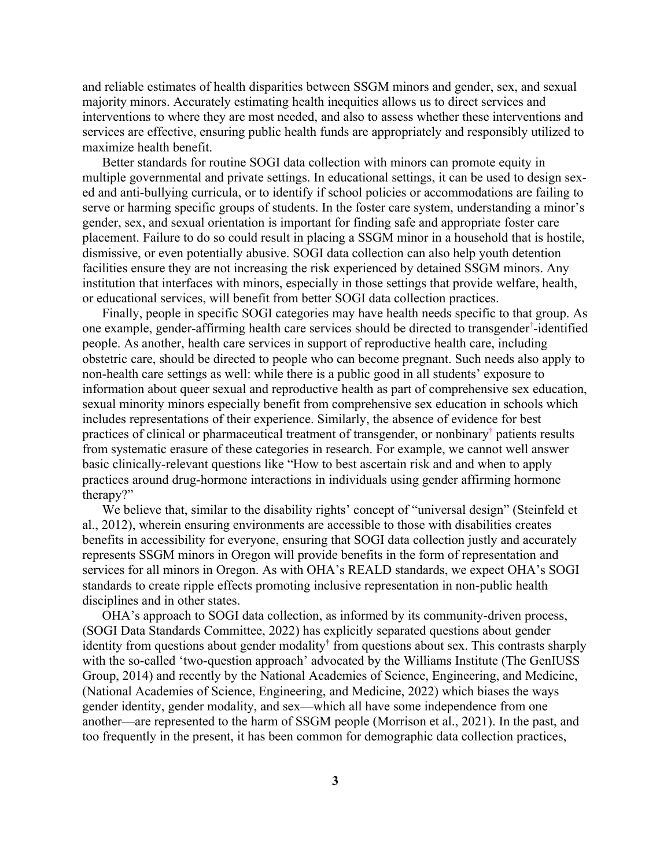and reliable estimates of health disparities between SSGM minors and gender, sex, and sexual majority minors. Accurately estimating health inequities allows us to direct services and interventions to where they are most needed, and also to assess whether these interventions and services are effective, ensuring public health funds are appropriately and responsibly utilized to maximize health benefit.

Better standards for routine SOGI data collection with minors can promote equity in multiple governmental and private settings. In educational settings, it can be used to design sexed and anti-bullying curricula, or to identify if school policies or accommodations are failing to serve or harming specific groups of students. In the foster care system, understanding a minor's gender, sex, and sexual orientation is important for finding safe and appropriate foster care placement. Failure to do so could result in placing a SSGM minor in a household that is hostile, dismissive, or even potentially abusive. SOGI data collection can also help youth detention facilities ensure they are not increasing the risk experienced by detained SSGM minors. Any institution that interfaces with minors, especially in those settings that provide welfare, health, or educational services, will benefit from better SOGI data collection practices.

Finally, people in specific SOGI categories may have health needs specific to that group. As one example, gender-affirming health care services should be directed to transgender† -identified people. As another, health care services in support of reproductive health care, including obstetric care, should be directed to people who can become pregnant. Such needs also apply to non-health care settings as well: while there is a public good in all students' exposure to information about queer sexual and reproductive health as part of comprehensive sex education, sexual minority minors especially benefit from comprehensive sex education in schools which includes representations of their experience. Similarly, the absence of evidence for best practices of clinical or pharmaceutical treatment of transgender, or nonbinary<sup>†</sup> patients results from systematic erasure of these categories in research. For example, we cannot well answer basic clinically-relevant questions like "How to best ascertain risk and and when to apply practices around drug-hormone interactions in individuals using gender affirming hormone therapy?"

We believe that, similar to the disability rights' concept of "universal design" (Steinfeld et al., 2012), wherein ensuring environments are accessible to those with disabilities creates benefits in accessibility for everyone, ensuring that SOGI data collection justly and accurately represents SSGM minors in Oregon will provide benefits in the form of representation and services for all minors in Oregon. As with OHA's REALD standards, we expect OHA's SOGI standards to create ripple effects promoting inclusive representation in non-public health disciplines and in other states.

OHA's approach to SOGI data collection, as informed by its community-driven process, (SOGI Data Standards Committee, 2022) has explicitly separated questions about gender identity from questions about gender modality† from questions about sex. This contrasts sharply with the so-called 'two-question approach' advocated by the Williams Institute (The GenIUSS Group, 2014) and recently by the National Academies of Science, Engineering, and Medicine, (National Academies of Science, Engineering, and Medicine, 2022) which biases the ways gender identity, gender modality, and sex—which all have some independence from one another—are represented to the harm of SSGM people (Morrison et al., 2021). In the past, and too frequently in the present, it has been common for demographic data collection practices,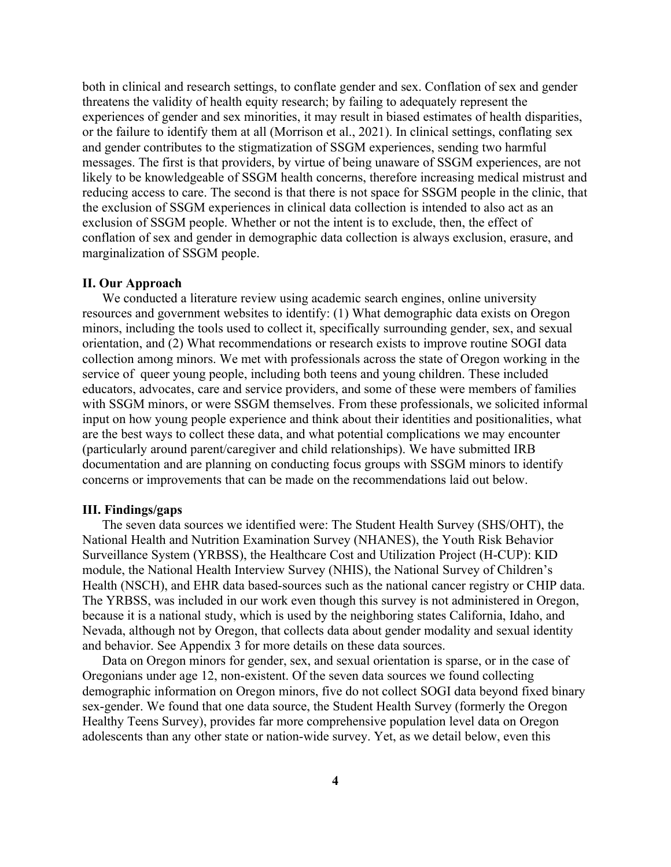both in clinical and research settings, to conflate gender and sex. Conflation of sex and gender threatens the validity of health equity research; by failing to adequately represent the experiences of gender and sex minorities, it may result in biased estimates of health disparities, or the failure to identify them at all (Morrison et al., 2021). In clinical settings, conflating sex and gender contributes to the stigmatization of SSGM experiences, sending two harmful messages. The first is that providers, by virtue of being unaware of SSGM experiences, are not likely to be knowledgeable of SSGM health concerns, therefore increasing medical mistrust and reducing access to care. The second is that there is not space for SSGM people in the clinic, that the exclusion of SSGM experiences in clinical data collection is intended to also act as an exclusion of SSGM people. Whether or not the intent is to exclude, then, the effect of conflation of sex and gender in demographic data collection is always exclusion, erasure, and marginalization of SSGM people.

### **II. Our Approach**

We conducted a literature review using academic search engines, online university resources and government websites to identify: (1) What demographic data exists on Oregon minors, including the tools used to collect it, specifically surrounding gender, sex, and sexual orientation, and (2) What recommendations or research exists to improve routine SOGI data collection among minors. We met with professionals across the state of Oregon working in the service of queer young people, including both teens and young children. These included educators, advocates, care and service providers, and some of these were members of families with SSGM minors, or were SSGM themselves. From these professionals, we solicited informal input on how young people experience and think about their identities and positionalities, what are the best ways to collect these data, and what potential complications we may encounter (particularly around parent/caregiver and child relationships). We have submitted IRB documentation and are planning on conducting focus groups with SSGM minors to identify concerns or improvements that can be made on the recommendations laid out below.

#### **III. Findings/gaps**

The seven data sources we identified were: The Student Health Survey (SHS/OHT), the National Health and Nutrition Examination Survey (NHANES), the Youth Risk Behavior Surveillance System (YRBSS), the Healthcare Cost and Utilization Project (H-CUP): KID module, the National Health Interview Survey (NHIS), the National Survey of Children's Health (NSCH), and EHR data based-sources such as the national cancer registry or CHIP data. The YRBSS, was included in our work even though this survey is not administered in Oregon, because it is a national study, which is used by the neighboring states California, Idaho, and Nevada, although not by Oregon, that collects data about gender modality and sexual identity and behavior. See Appendix 3 for more details on these data sources.

Data on Oregon minors for gender, sex, and sexual orientation is sparse, or in the case of Oregonians under age 12, non-existent. Of the seven data sources we found collecting demographic information on Oregon minors, five do not collect SOGI data beyond fixed binary sex-gender. We found that one data source, the Student Health Survey (formerly the Oregon Healthy Teens Survey), provides far more comprehensive population level data on Oregon adolescents than any other state or nation-wide survey. Yet, as we detail below, even this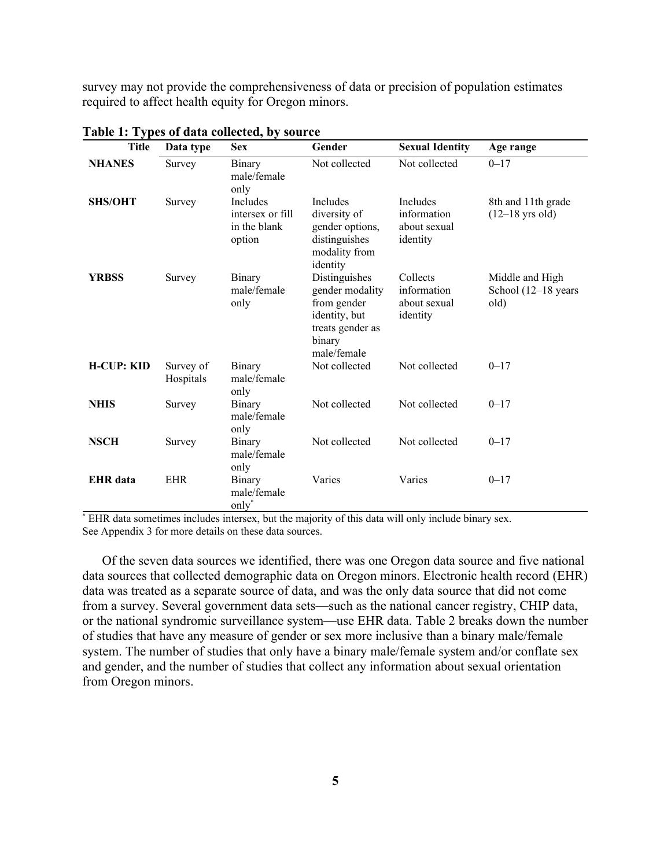survey may not provide the comprehensiveness of data or precision of population estimates required to affect health equity for Oregon minors.

| <b>Title</b>      | Data type              | <b>Sex</b>                                                    | Gender                                                                                                        | <b>Sexual Identity</b>                                     | Age range                                      |
|-------------------|------------------------|---------------------------------------------------------------|---------------------------------------------------------------------------------------------------------------|------------------------------------------------------------|------------------------------------------------|
| <b>NHANES</b>     | Survey                 | <b>Binary</b><br>male/female<br>only                          | Not collected                                                                                                 | Not collected                                              | $0 - 17$                                       |
| <b>SHS/OHT</b>    | Survey                 | <b>Includes</b><br>intersex or fill<br>in the blank<br>option | <b>Includes</b><br>diversity of<br>gender options,<br>distinguishes<br>modality from<br>identity              | <b>Includes</b><br>information<br>about sexual<br>identity | 8th and 11th grade<br>$(12-18$ yrs old)        |
| <b>YRBSS</b>      | Survey                 | Binary<br>male/female<br>only                                 | Distinguishes<br>gender modality<br>from gender<br>identity, but<br>treats gender as<br>binary<br>male/female | Collects<br>information<br>about sexual<br>identity        | Middle and High<br>School (12–18 years<br>old) |
| <b>H-CUP: KID</b> | Survey of<br>Hospitals | <b>Binary</b><br>male/female<br>only                          | Not collected                                                                                                 | Not collected                                              | $0 - 17$                                       |
| <b>NHIS</b>       | Survey                 | Binary<br>male/female<br>only                                 | Not collected                                                                                                 | Not collected                                              | $0 - 17$                                       |
| <b>NSCH</b>       | Survey                 | Binary<br>male/female<br>only                                 | Not collected                                                                                                 | Not collected                                              | $0 - 17$                                       |
| <b>EHR</b> data   | <b>EHR</b>             | Binary<br>male/female<br>only*                                | Varies                                                                                                        | Varies                                                     | $0 - 17$                                       |

**Table 1: Types of data collected, by source**

\* EHR data sometimes includes intersex, but the majority of this data will only include binary sex. See Appendix 3 for more details on these data sources.

Of the seven data sources we identified, there was one Oregon data source and five national data sources that collected demographic data on Oregon minors. Electronic health record (EHR) data was treated as a separate source of data, and was the only data source that did not come from a survey. Several government data sets—such as the national cancer registry, CHIP data, or the national syndromic surveillance system—use EHR data. Table 2 breaks down the number of studies that have any measure of gender or sex more inclusive than a binary male/female system. The number of studies that only have a binary male/female system and/or conflate sex and gender, and the number of studies that collect any information about sexual orientation from Oregon minors.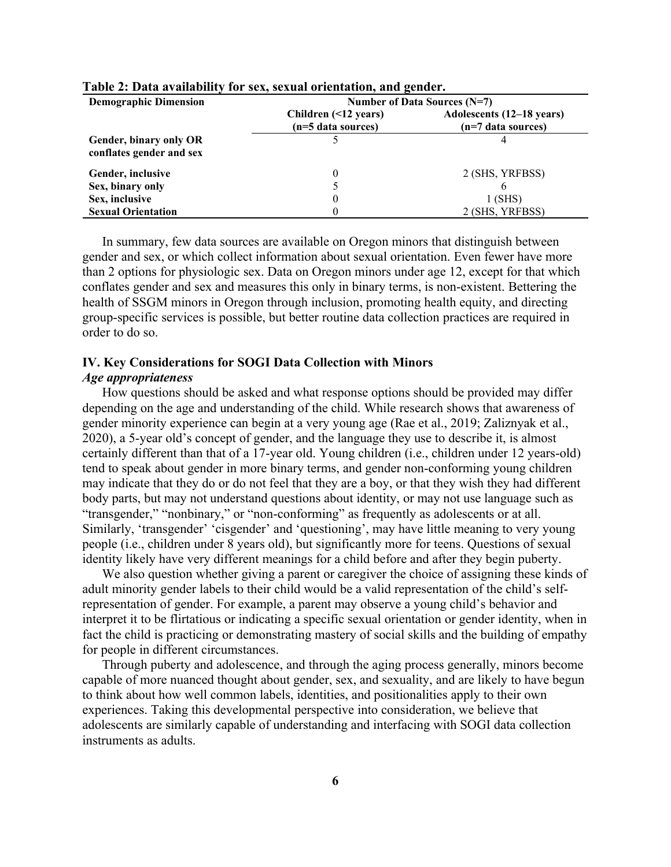| <b>Demographic Dimension</b>                       | Number of Data Sources (N=7)               |                                                   |  |
|----------------------------------------------------|--------------------------------------------|---------------------------------------------------|--|
|                                                    | Children (<12 years)<br>(n=5 data sources) | Adolescents (12–18 years)<br>$(n=7$ data sources) |  |
| Gender, binary only OR<br>conflates gender and sex |                                            |                                                   |  |
| Gender, inclusive                                  |                                            | 2 (SHS, YRFBSS)                                   |  |
| Sex, binary only                                   |                                            |                                                   |  |
| Sex, inclusive                                     |                                            | $1$ (SHS)                                         |  |
| <b>Sexual Orientation</b>                          |                                            | 2 (SHS, YRFBSS)                                   |  |

### **Table 2: Data availability for sex, sexual orientation, and gender.**

In summary, few data sources are available on Oregon minors that distinguish between gender and sex, or which collect information about sexual orientation. Even fewer have more than 2 options for physiologic sex. Data on Oregon minors under age 12, except for that which conflates gender and sex and measures this only in binary terms, is non-existent. Bettering the health of SSGM minors in Oregon through inclusion, promoting health equity, and directing group-specific services is possible, but better routine data collection practices are required in order to do so.

# **IV. Key Considerations for SOGI Data Collection with Minors**

# *Age appropriateness*

How questions should be asked and what response options should be provided may differ depending on the age and understanding of the child. While research shows that awareness of gender minority experience can begin at a very young age (Rae et al., 2019; Zaliznyak et al., 2020), a 5-year old's concept of gender, and the language they use to describe it, is almost certainly different than that of a 17-year old. Young children (i.e., children under 12 years-old) tend to speak about gender in more binary terms, and gender non-conforming young children may indicate that they do or do not feel that they are a boy, or that they wish they had different body parts, but may not understand questions about identity, or may not use language such as "transgender," "nonbinary," or "non-conforming" as frequently as adolescents or at all. Similarly, 'transgender' 'cisgender' and 'questioning', may have little meaning to very young people (i.e., children under 8 years old), but significantly more for teens. Questions of sexual identity likely have very different meanings for a child before and after they begin puberty.

We also question whether giving a parent or caregiver the choice of assigning these kinds of adult minority gender labels to their child would be a valid representation of the child's selfrepresentation of gender. For example, a parent may observe a young child's behavior and interpret it to be flirtatious or indicating a specific sexual orientation or gender identity, when in fact the child is practicing or demonstrating mastery of social skills and the building of empathy for people in different circumstances.

Through puberty and adolescence, and through the aging process generally, minors become capable of more nuanced thought about gender, sex, and sexuality, and are likely to have begun to think about how well common labels, identities, and positionalities apply to their own experiences. Taking this developmental perspective into consideration, we believe that adolescents are similarly capable of understanding and interfacing with SOGI data collection instruments as adults.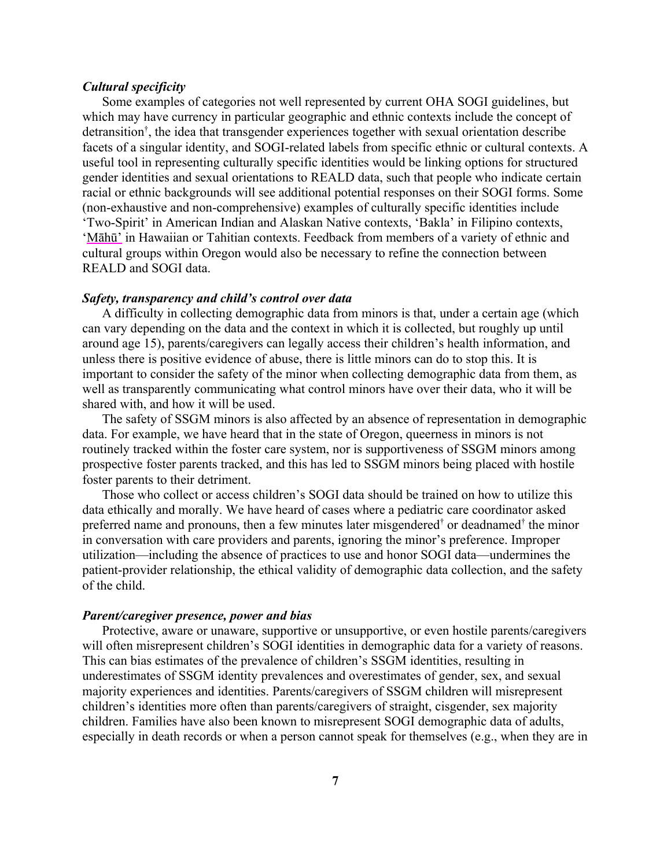### *Cultural specificity*

Some examples of categories not well represented by current OHA SOGI guidelines, but which may have currency in particular geographic and ethnic contexts include the concept of detransition† , the idea that transgender experiences together with sexual orientation describe facets of a singular identity, and SOGI-related labels from specific ethnic or cultural contexts. A useful tool in representing culturally specific identities would be linking options for structured gender identities and sexual orientations to REALD data, such that people who indicate certain racial or ethnic backgrounds will see additional potential responses on their SOGI forms. Some (non-exhaustive and non-comprehensive) examples of culturally specific identities include 'Two-Spirit' in American Indian and Alaskan Native contexts, 'Bakla' in Filipino contexts, 'Māhū' in Hawaiian or Tahitian contexts. Feedback from members of a variety of ethnic and cultural groups within Oregon would also be necessary to refine the connection between REALD and SOGI data.

### *Safety, transparency and child's control over data*

A difficulty in collecting demographic data from minors is that, under a certain age (which can vary depending on the data and the context in which it is collected, but roughly up until around age 15), parents/caregivers can legally access their children's health information, and unless there is positive evidence of abuse, there is little minors can do to stop this. It is important to consider the safety of the minor when collecting demographic data from them, as well as transparently communicating what control minors have over their data, who it will be shared with, and how it will be used.

The safety of SSGM minors is also affected by an absence of representation in demographic data. For example, we have heard that in the state of Oregon, queerness in minors is not routinely tracked within the foster care system, nor is supportiveness of SSGM minors among prospective foster parents tracked, and this has led to SSGM minors being placed with hostile foster parents to their detriment.

Those who collect or access children's SOGI data should be trained on how to utilize this data ethically and morally. We have heard of cases where a pediatric care coordinator asked preferred name and pronouns, then a few minutes later misgendered<sup>†</sup> or deadnamed<sup>†</sup> the minor in conversation with care providers and parents, ignoring the minor's preference. Improper utilization—including the absence of practices to use and honor SOGI data—undermines the patient-provider relationship, the ethical validity of demographic data collection, and the safety of the child.

### *Parent/caregiver presence, power and bias*

Protective, aware or unaware, supportive or unsupportive, or even hostile parents/caregivers will often misrepresent children's SOGI identities in demographic data for a variety of reasons. This can bias estimates of the prevalence of children's SSGM identities, resulting in underestimates of SSGM identity prevalences and overestimates of gender, sex, and sexual majority experiences and identities. Parents/caregivers of SSGM children will misrepresent children's identities more often than parents/caregivers of straight, cisgender, sex majority children. Families have also been known to misrepresent SOGI demographic data of adults, especially in death records or when a person cannot speak for themselves (e.g., when they are in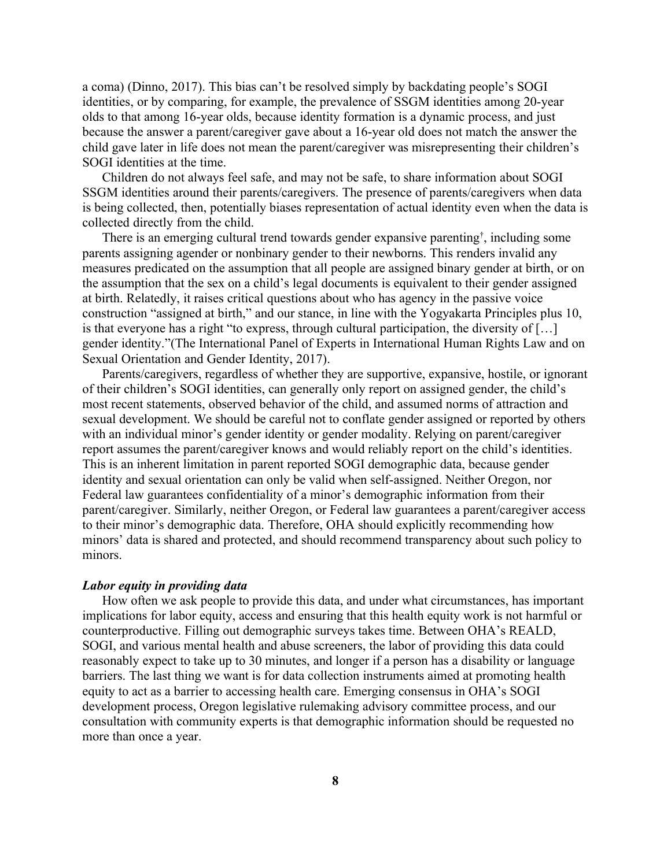a coma) (Dinno, 2017). This bias can't be resolved simply by backdating people's SOGI identities, or by comparing, for example, the prevalence of SSGM identities among 20-year olds to that among 16-year olds, because identity formation is a dynamic process, and just because the answer a parent/caregiver gave about a 16-year old does not match the answer the child gave later in life does not mean the parent/caregiver was misrepresenting their children's SOGI identities at the time.

Children do not always feel safe, and may not be safe, to share information about SOGI SSGM identities around their parents/caregivers. The presence of parents/caregivers when data is being collected, then, potentially biases representation of actual identity even when the data is collected directly from the child.

There is an emerging cultural trend towards gender expansive parenting† , including some parents assigning agender or nonbinary gender to their newborns. This renders invalid any measures predicated on the assumption that all people are assigned binary gender at birth, or on the assumption that the sex on a child's legal documents is equivalent to their gender assigned at birth. Relatedly, it raises critical questions about who has agency in the passive voice construction "assigned at birth," and our stance, in line with the Yogyakarta Principles plus 10, is that everyone has a right "to express, through cultural participation, the diversity of […] gender identity."(The International Panel of Experts in International Human Rights Law and on Sexual Orientation and Gender Identity, 2017).

Parents/caregivers, regardless of whether they are supportive, expansive, hostile, or ignorant of their children's SOGI identities, can generally only report on assigned gender, the child's most recent statements, observed behavior of the child, and assumed norms of attraction and sexual development. We should be careful not to conflate gender assigned or reported by others with an individual minor's gender identity or gender modality. Relying on parent/caregiver report assumes the parent/caregiver knows and would reliably report on the child's identities. This is an inherent limitation in parent reported SOGI demographic data, because gender identity and sexual orientation can only be valid when self-assigned. Neither Oregon, nor Federal law guarantees confidentiality of a minor's demographic information from their parent/caregiver. Similarly, neither Oregon, or Federal law guarantees a parent/caregiver access to their minor's demographic data. Therefore, OHA should explicitly recommending how minors' data is shared and protected, and should recommend transparency about such policy to minors.

### *Labor equity in providing data*

How often we ask people to provide this data, and under what circumstances, has important implications for labor equity, access and ensuring that this health equity work is not harmful or counterproductive. Filling out demographic surveys takes time. Between OHA's REALD, SOGI, and various mental health and abuse screeners, the labor of providing this data could reasonably expect to take up to 30 minutes, and longer if a person has a disability or language barriers. The last thing we want is for data collection instruments aimed at promoting health equity to act as a barrier to accessing health care. Emerging consensus in OHA's SOGI development process, Oregon legislative rulemaking advisory committee process, and our consultation with community experts is that demographic information should be requested no more than once a year.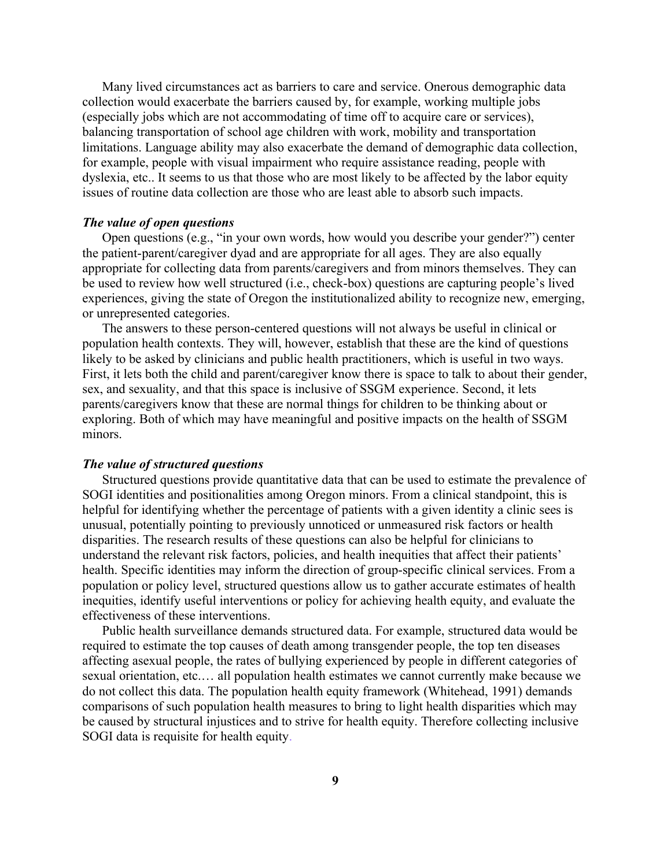Many lived circumstances act as barriers to care and service. Onerous demographic data collection would exacerbate the barriers caused by, for example, working multiple jobs (especially jobs which are not accommodating of time off to acquire care or services), balancing transportation of school age children with work, mobility and transportation limitations. Language ability may also exacerbate the demand of demographic data collection, for example, people with visual impairment who require assistance reading, people with dyslexia, etc.. It seems to us that those who are most likely to be affected by the labor equity issues of routine data collection are those who are least able to absorb such impacts.

### *The value of open questions*

Open questions (e.g., "in your own words, how would you describe your gender?") center the patient-parent/caregiver dyad and are appropriate for all ages. They are also equally appropriate for collecting data from parents/caregivers and from minors themselves. They can be used to review how well structured (i.e., check-box) questions are capturing people's lived experiences, giving the state of Oregon the institutionalized ability to recognize new, emerging, or unrepresented categories.

The answers to these person-centered questions will not always be useful in clinical or population health contexts. They will, however, establish that these are the kind of questions likely to be asked by clinicians and public health practitioners, which is useful in two ways. First, it lets both the child and parent/caregiver know there is space to talk to about their gender, sex, and sexuality, and that this space is inclusive of SSGM experience. Second, it lets parents/caregivers know that these are normal things for children to be thinking about or exploring. Both of which may have meaningful and positive impacts on the health of SSGM minors.

### *The value of structured questions*

Structured questions provide quantitative data that can be used to estimate the prevalence of SOGI identities and positionalities among Oregon minors. From a clinical standpoint, this is helpful for identifying whether the percentage of patients with a given identity a clinic sees is unusual, potentially pointing to previously unnoticed or unmeasured risk factors or health disparities. The research results of these questions can also be helpful for clinicians to understand the relevant risk factors, policies, and health inequities that affect their patients' health. Specific identities may inform the direction of group-specific clinical services. From a population or policy level, structured questions allow us to gather accurate estimates of health inequities, identify useful interventions or policy for achieving health equity, and evaluate the effectiveness of these interventions.

Public health surveillance demands structured data. For example, structured data would be required to estimate the top causes of death among transgender people, the top ten diseases affecting asexual people, the rates of bullying experienced by people in different categories of sexual orientation, etc.… all population health estimates we cannot currently make because we do not collect this data. The population health equity framework (Whitehead, 1991) demands comparisons of such population health measures to bring to light health disparities which may be caused by structural injustices and to strive for health equity. Therefore collecting inclusive SOGI data is requisite for health equity.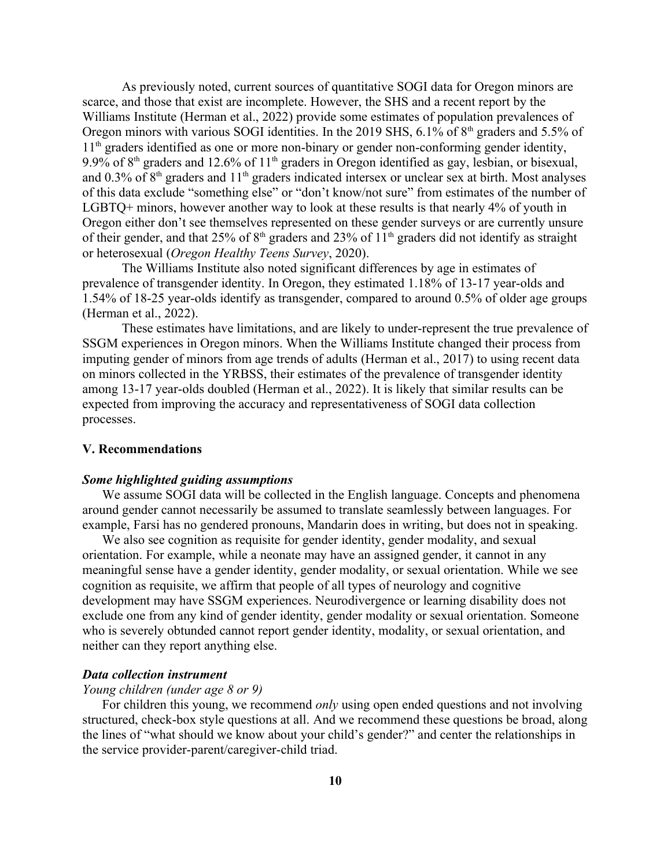As previously noted, current sources of quantitative SOGI data for Oregon minors are scarce, and those that exist are incomplete. However, the SHS and a recent report by the Williams Institute (Herman et al., 2022) provide some estimates of population prevalences of Oregon minors with various SOGI identities. In the 2019 SHS,  $6.1\%$  of  $8<sup>th</sup>$  graders and 5.5% of 1<sup>th</sup> graders identified as one or more non-binary or gender non-conforming gender identity, 9.9% of 8<sup>th</sup> graders and 12.6% of 11<sup>th</sup> graders in Oregon identified as gay, lesbian, or bisexual, and 0.3% of  $8<sup>th</sup>$  graders and 11<sup>th</sup> graders indicated intersex or unclear sex at birth. Most analyses of this data exclude "something else" or "don't know/not sure" from estimates of the number of LGBTQ+ minors, however another way to look at these results is that nearly 4% of youth in Oregon either don't see themselves represented on these gender surveys or are currently unsure of their gender, and that 25% of  $8<sup>th</sup>$  graders and 23% of  $11<sup>th</sup>$  graders did not identify as straight or heterosexual (*Oregon Healthy Teens Survey*, 2020).

The Williams Institute also noted significant differences by age in estimates of prevalence of transgender identity. In Oregon, they estimated 1.18% of 13-17 year-olds and 1.54% of 18-25 year-olds identify as transgender, compared to around 0.5% of older age groups (Herman et al., 2022).

These estimates have limitations, and are likely to under-represent the true prevalence of SSGM experiences in Oregon minors. When the Williams Institute changed their process from imputing gender of minors from age trends of adults (Herman et al., 2017) to using recent data on minors collected in the YRBSS, their estimates of the prevalence of transgender identity among 13-17 year-olds doubled (Herman et al., 2022). It is likely that similar results can be expected from improving the accuracy and representativeness of SOGI data collection processes.

#### **V. Recommendations**

#### *Some highlighted guiding assumptions*

We assume SOGI data will be collected in the English language. Concepts and phenomena around gender cannot necessarily be assumed to translate seamlessly between languages. For example, Farsi has no gendered pronouns, Mandarin does in writing, but does not in speaking.

We also see cognition as requisite for gender identity, gender modality, and sexual orientation. For example, while a neonate may have an assigned gender, it cannot in any meaningful sense have a gender identity, gender modality, or sexual orientation. While we see cognition as requisite, we affirm that people of all types of neurology and cognitive development may have SSGM experiences. Neurodivergence or learning disability does not exclude one from any kind of gender identity, gender modality or sexual orientation. Someone who is severely obtunded cannot report gender identity, modality, or sexual orientation, and neither can they report anything else.

## *Data collection instrument*

### *Young children (under age 8 or 9)*

For children this young, we recommend *only* using open ended questions and not involving structured, check-box style questions at all. And we recommend these questions be broad, along the lines of "what should we know about your child's gender?" and center the relationships in the service provider-parent/caregiver-child triad.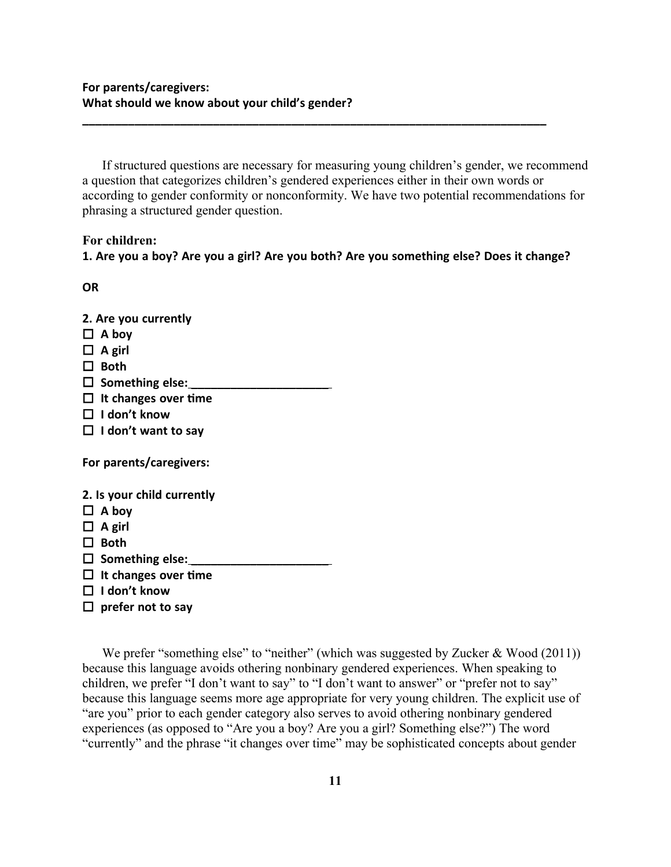If structured questions are necessary for measuring young children's gender, we recommend a question that categorizes children's gendered experiences either in their own words or according to gender conformity or nonconformity. We have two potential recommendations for phrasing a structured gender question.

**\_\_\_\_\_\_\_\_\_\_\_\_\_\_\_\_\_\_\_\_\_\_\_\_\_\_\_\_\_\_\_\_\_\_\_\_\_\_\_\_\_\_\_\_\_\_\_\_\_\_\_\_\_\_\_\_\_\_\_\_\_\_\_\_\_\_\_\_\_\_\_**

# **For children:**

**1. Are you a boy? Are you a girl? Are you both? Are you something else? Does it change?**

**OR** 

- **2. Are you currently**
- **A boy**
- $\Box$  **A** girl
- **Both**
- □ Something else:
- **It changes over time**
- **I don't know**
- **I don't want to say**

**For parents/caregivers:**

- **2. Is your child currently**
- $\Box$  **A** boy
- **A girl**
- □ Both
- □ Something else:
- **It changes over time**
- **I don't know**
- **prefer not to say**

We prefer "something else" to "neither" (which was suggested by Zucker & Wood (2011)) because this language avoids othering nonbinary gendered experiences. When speaking to children, we prefer "I don't want to say" to "I don't want to answer" or "prefer not to say" because this language seems more age appropriate for very young children. The explicit use of "are you" prior to each gender category also serves to avoid othering nonbinary gendered experiences (as opposed to "Are you a boy? Are you a girl? Something else?") The word "currently" and the phrase "it changes over time" may be sophisticated concepts about gender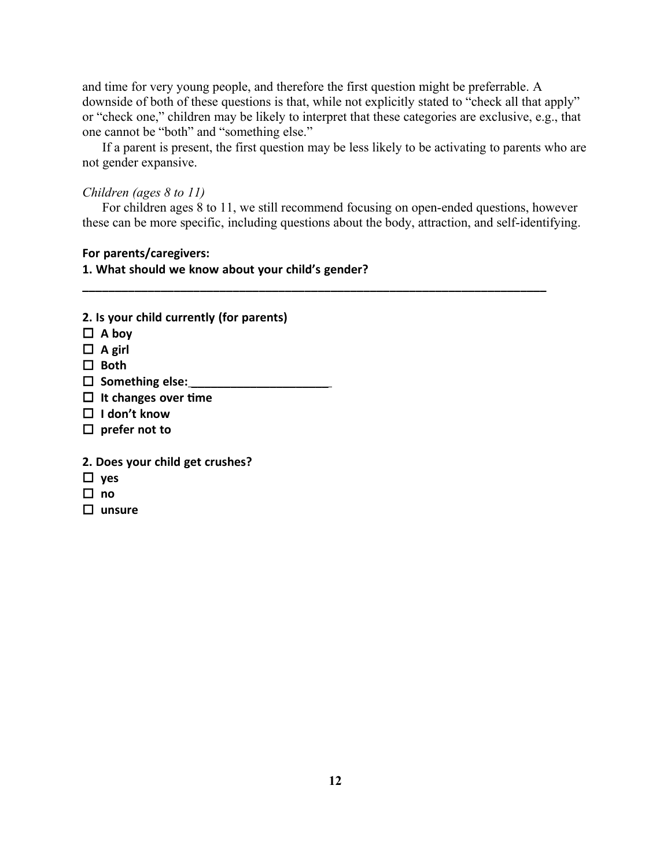and time for very young people, and therefore the first question might be preferrable. A downside of both of these questions is that, while not explicitly stated to "check all that apply" or "check one," children may be likely to interpret that these categories are exclusive, e.g., that one cannot be "both" and "something else."

If a parent is present, the first question may be less likely to be activating to parents who are not gender expansive.

# *Children (ages 8 to 11)*

For children ages 8 to 11, we still recommend focusing on open-ended questions, however these can be more specific, including questions about the body, attraction, and self-identifying.

**\_\_\_\_\_\_\_\_\_\_\_\_\_\_\_\_\_\_\_\_\_\_\_\_\_\_\_\_\_\_\_\_\_\_\_\_\_\_\_\_\_\_\_\_\_\_\_\_\_\_\_\_\_\_\_\_\_\_\_\_\_\_\_\_\_\_\_\_\_\_\_**

# **For parents/caregivers:**

**1. What should we know about your child's gender?**

| 2. Is your child currently (for parents) |
|------------------------------------------|
| $\Box$ A boy                             |
| $\Box$ A girl                            |
| $\Box$ Both                              |
| $\Box$ Something else:                   |
| $\Box$ It changes over time              |
| $\Box$ I don't know                      |
| $\Box$ prefer not to                     |
| 2. Does your child get crushes?          |
| $\Box$ yes                               |
| no                                       |
| unsure                                   |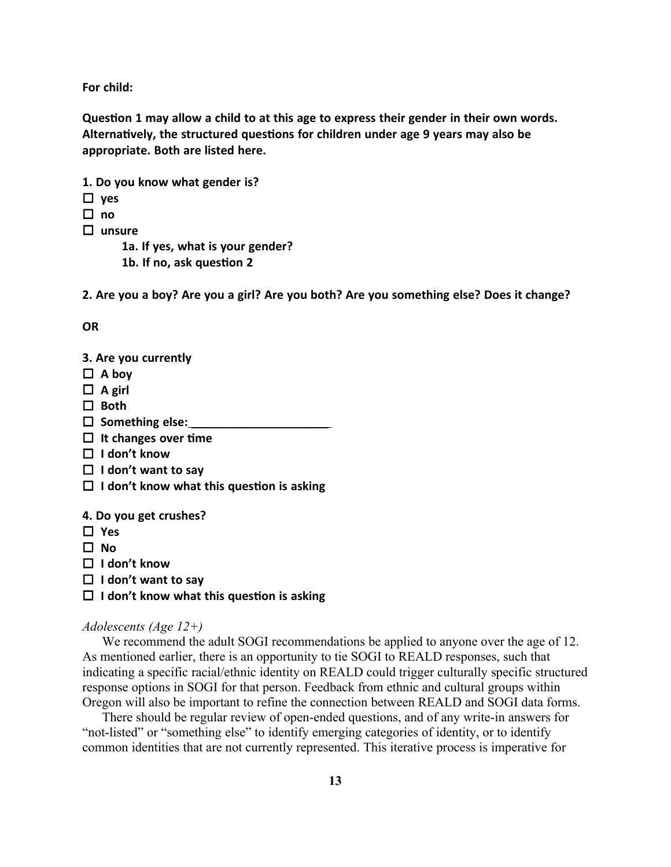**For child:**

**Question 1 may allow a child to at this age to express their gender in their own words. Alternatively, the structured questions for children under age 9 years may also be appropriate. Both are listed here.**

- **1. Do you know what gender is?**
- **yes**
- $\Box$  **no**
- **unsure**

**1a. If yes, what is your gender?**

**1b. If no, ask question 2**

**2. Are you a boy? Are you a girl? Are you both? Are you something else? Does it change?**

**OR** 

- **3. Are you currently**
- $\Box$  **A** boy
- $\Box$  **A** girl
- □ Both
- $\Box$  Something else:
- **It changes over time**
- **I don't know**
- **I don't want to say**
- **I don't know what this question is asking**

**4. Do you get crushes?**

 **Yes**

 $\Pi$  No

- **I don't know**
- **I don't want to say**
- **I don't know what this question is asking**

### *Adolescents (Age 12+)*

We recommend the adult SOGI recommendations be applied to anyone over the age of 12. As mentioned earlier, there is an opportunity to tie SOGI to REALD responses, such that indicating a specific racial/ethnic identity on REALD could trigger culturally specific structured response options in SOGI for that person. Feedback from ethnic and cultural groups within Oregon will also be important to refine the connection between REALD and SOGI data forms.

There should be regular review of open-ended questions, and of any write-in answers for "not-listed" or "something else" to identify emerging categories of identity, or to identify common identities that are not currently represented. This iterative process is imperative for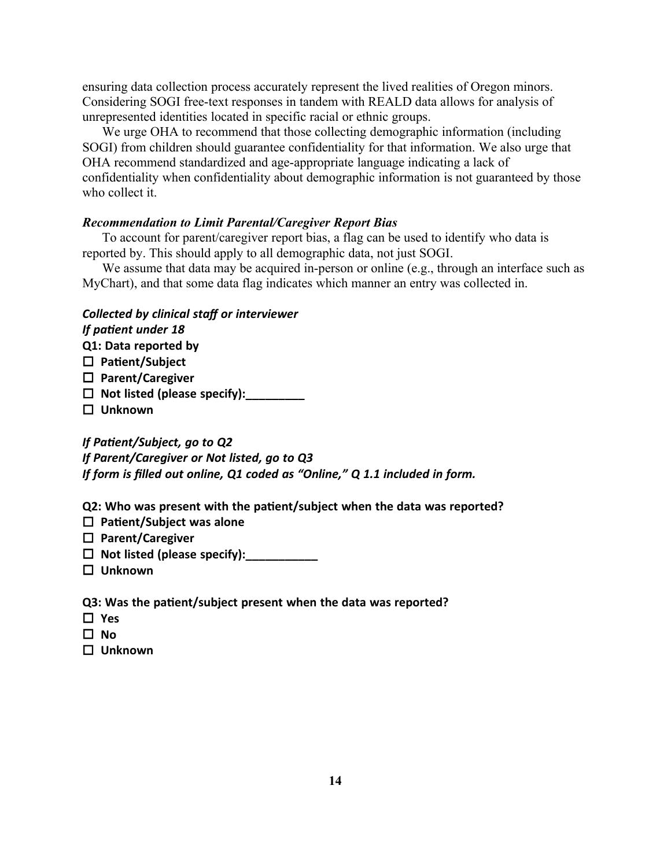ensuring data collection process accurately represent the lived realities of Oregon minors. Considering SOGI free-text responses in tandem with REALD data allows for analysis of unrepresented identities located in specific racial or ethnic groups.

We urge OHA to recommend that those collecting demographic information (including SOGI) from children should guarantee confidentiality for that information. We also urge that OHA recommend standardized and age-appropriate language indicating a lack of confidentiality when confidentiality about demographic information is not guaranteed by those who collect it.

### *Recommendation to Limit Parental/Caregiver Report Bias*

To account for parent/caregiver report bias, a flag can be used to identify who data is reported by. This should apply to all demographic data, not just SOGI.

We assume that data may be acquired in-person or online (e.g., through an interface such as MyChart), and that some data flag indicates which manner an entry was collected in.

### *Collected by clinical staff or interviewer*

# *If patient under 18*

**Q1: Data reported by**

- **Patient/Subject**
- **Parent/Caregiver**
- **Not listed (please specify):\_\_\_\_\_\_\_\_\_**
- **Unknown**

*If Patient/Subject, go to Q2*

*If Parent/Caregiver or Not listed, go to Q3*

*If form is filled out online, Q1 coded as "Online," Q 1.1 included in form.*

**Q2: Who was present with the patient/subject when the data was reported?**

- **Patient/Subject was alone**
- **Parent/Caregiver**
- $\Box$  Not listed (please specify):
- **Unknown**

**Q3: Was the patient/subject present when the data was reported?**

- **Yes**
- **No**
- **Unknown**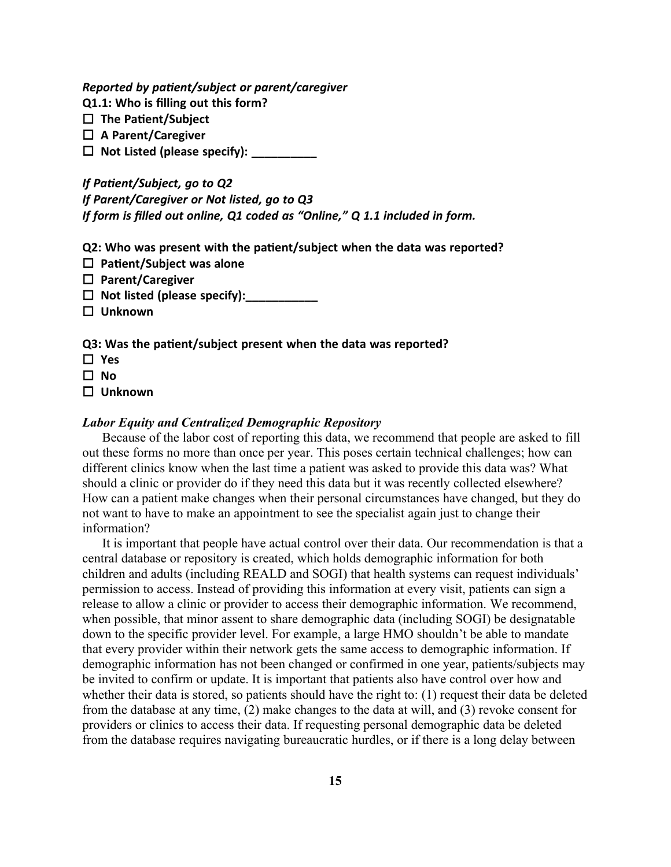*Reported by patient/subject or parent/caregiver*

**Q1.1: Who is filling out this form?**

- **The Patient/Subject**
- **A Parent/Caregiver**
- **Not Listed (please specify): \_\_\_\_\_\_\_\_\_\_**

*If Patient/Subject, go to Q2 If Parent/Caregiver or Not listed, go to Q3 If form is filled out online, Q1 coded as "Online," Q 1.1 included in form.*

**Q2: Who was present with the patient/subject when the data was reported?**

- **Patient/Subject was alone**
- **Parent/Caregiver**
- $\Box$  Not listed (please specify):
- **Unknown**

## **Q3: Was the patient/subject present when the data was reported?**

- **Yes**
- **No**
- **Unknown**

### *Labor Equity and Centralized Demographic Repository*

Because of the labor cost of reporting this data, we recommend that people are asked to fill out these forms no more than once per year. This poses certain technical challenges; how can different clinics know when the last time a patient was asked to provide this data was? What should a clinic or provider do if they need this data but it was recently collected elsewhere? How can a patient make changes when their personal circumstances have changed, but they do not want to have to make an appointment to see the specialist again just to change their information?

It is important that people have actual control over their data. Our recommendation is that a central database or repository is created, which holds demographic information for both children and adults (including REALD and SOGI) that health systems can request individuals' permission to access. Instead of providing this information at every visit, patients can sign a release to allow a clinic or provider to access their demographic information. We recommend, when possible, that minor assent to share demographic data (including SOGI) be designatable down to the specific provider level. For example, a large HMO shouldn't be able to mandate that every provider within their network gets the same access to demographic information. If demographic information has not been changed or confirmed in one year, patients/subjects may be invited to confirm or update. It is important that patients also have control over how and whether their data is stored, so patients should have the right to: (1) request their data be deleted from the database at any time, (2) make changes to the data at will, and (3) revoke consent for providers or clinics to access their data. If requesting personal demographic data be deleted from the database requires navigating bureaucratic hurdles, or if there is a long delay between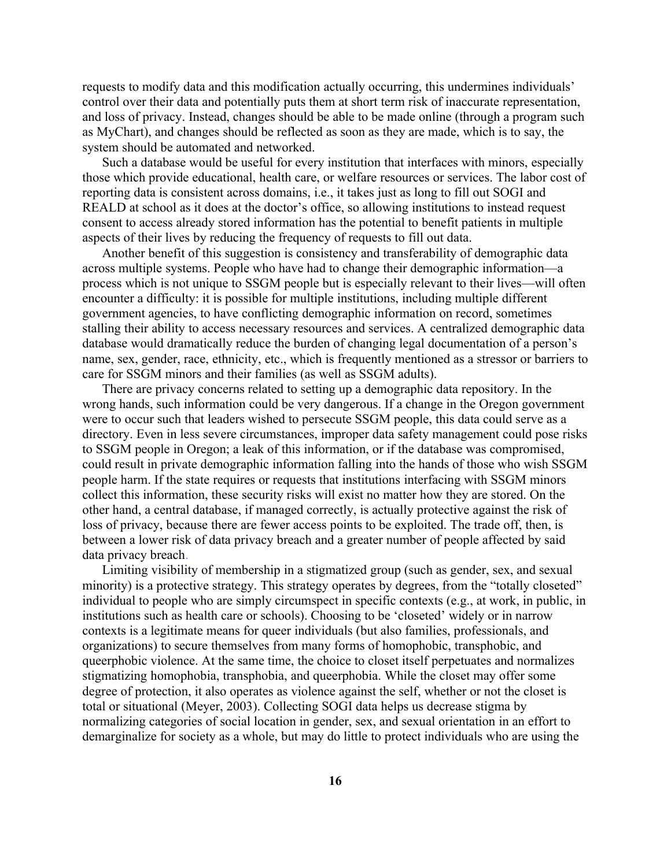requests to modify data and this modification actually occurring, this undermines individuals' control over their data and potentially puts them at short term risk of inaccurate representation, and loss of privacy. Instead, changes should be able to be made online (through a program such as MyChart), and changes should be reflected as soon as they are made, which is to say, the system should be automated and networked.

Such a database would be useful for every institution that interfaces with minors, especially those which provide educational, health care, or welfare resources or services. The labor cost of reporting data is consistent across domains, i.e., it takes just as long to fill out SOGI and REALD at school as it does at the doctor's office, so allowing institutions to instead request consent to access already stored information has the potential to benefit patients in multiple aspects of their lives by reducing the frequency of requests to fill out data.

Another benefit of this suggestion is consistency and transferability of demographic data across multiple systems. People who have had to change their demographic information—a process which is not unique to SSGM people but is especially relevant to their lives—will often encounter a difficulty: it is possible for multiple institutions, including multiple different government agencies, to have conflicting demographic information on record, sometimes stalling their ability to access necessary resources and services. A centralized demographic data database would dramatically reduce the burden of changing legal documentation of a person's name, sex, gender, race, ethnicity, etc., which is frequently mentioned as a stressor or barriers to care for SSGM minors and their families (as well as SSGM adults).

There are privacy concerns related to setting up a demographic data repository. In the wrong hands, such information could be very dangerous. If a change in the Oregon government were to occur such that leaders wished to persecute SSGM people, this data could serve as a directory. Even in less severe circumstances, improper data safety management could pose risks to SSGM people in Oregon; a leak of this information, or if the database was compromised, could result in private demographic information falling into the hands of those who wish SSGM people harm. If the state requires or requests that institutions interfacing with SSGM minors collect this information, these security risks will exist no matter how they are stored. On the other hand, a central database, if managed correctly, is actually protective against the risk of loss of privacy, because there are fewer access points to be exploited. The trade off, then, is between a lower risk of data privacy breach and a greater number of people affected by said data privacy breach.

Limiting visibility of membership in a stigmatized group (such as gender, sex, and sexual minority) is a protective strategy. This strategy operates by degrees, from the "totally closeted" individual to people who are simply circumspect in specific contexts (e.g., at work, in public, in institutions such as health care or schools). Choosing to be 'closeted' widely or in narrow contexts is a legitimate means for queer individuals (but also families, professionals, and organizations) to secure themselves from many forms of homophobic, transphobic, and queerphobic violence. At the same time, the choice to closet itself perpetuates and normalizes stigmatizing homophobia, transphobia, and queerphobia. While the closet may offer some degree of protection, it also operates as violence against the self, whether or not the closet is total or situational (Meyer, 2003). Collecting SOGI data helps us decrease stigma by normalizing categories of social location in gender, sex, and sexual orientation in an effort to demarginalize for society as a whole, but may do little to protect individuals who are using the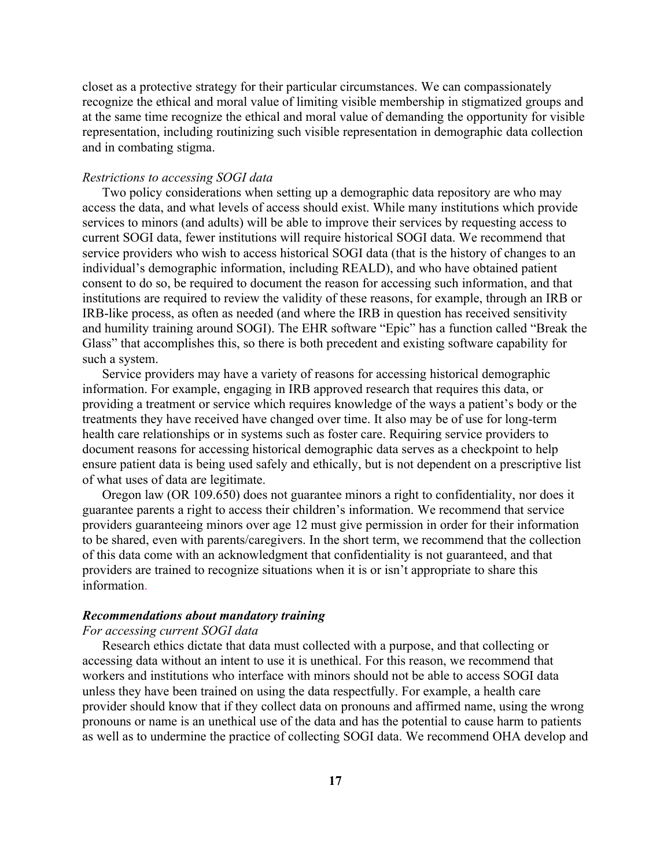closet as a protective strategy for their particular circumstances. We can compassionately recognize the ethical and moral value of limiting visible membership in stigmatized groups and at the same time recognize the ethical and moral value of demanding the opportunity for visible representation, including routinizing such visible representation in demographic data collection and in combating stigma.

### *Restrictions to accessing SOGI data*

Two policy considerations when setting up a demographic data repository are who may access the data, and what levels of access should exist. While many institutions which provide services to minors (and adults) will be able to improve their services by requesting access to current SOGI data, fewer institutions will require historical SOGI data. We recommend that service providers who wish to access historical SOGI data (that is the history of changes to an individual's demographic information, including REALD), and who have obtained patient consent to do so, be required to document the reason for accessing such information, and that institutions are required to review the validity of these reasons, for example, through an IRB or IRB-like process, as often as needed (and where the IRB in question has received sensitivity and humility training around SOGI). The EHR software "Epic" has a function called "Break the Glass" that accomplishes this, so there is both precedent and existing software capability for such a system.

Service providers may have a variety of reasons for accessing historical demographic information. For example, engaging in IRB approved research that requires this data, or providing a treatment or service which requires knowledge of the ways a patient's body or the treatments they have received have changed over time. It also may be of use for long-term health care relationships or in systems such as foster care. Requiring service providers to document reasons for accessing historical demographic data serves as a checkpoint to help ensure patient data is being used safely and ethically, but is not dependent on a prescriptive list of what uses of data are legitimate.

Oregon law (OR 109.650) does not guarantee minors a right to confidentiality, nor does it guarantee parents a right to access their children's information. We recommend that service providers guaranteeing minors over age 12 must give permission in order for their information to be shared, even with parents/caregivers. In the short term, we recommend that the collection of this data come with an acknowledgment that confidentiality is not guaranteed, and that providers are trained to recognize situations when it is or isn't appropriate to share this information.

### *Recommendations about mandatory training*

### *For accessing current SOGI data*

Research ethics dictate that data must collected with a purpose, and that collecting or accessing data without an intent to use it is unethical. For this reason, we recommend that workers and institutions who interface with minors should not be able to access SOGI data unless they have been trained on using the data respectfully. For example, a health care provider should know that if they collect data on pronouns and affirmed name, using the wrong pronouns or name is an unethical use of the data and has the potential to cause harm to patients as well as to undermine the practice of collecting SOGI data. We recommend OHA develop and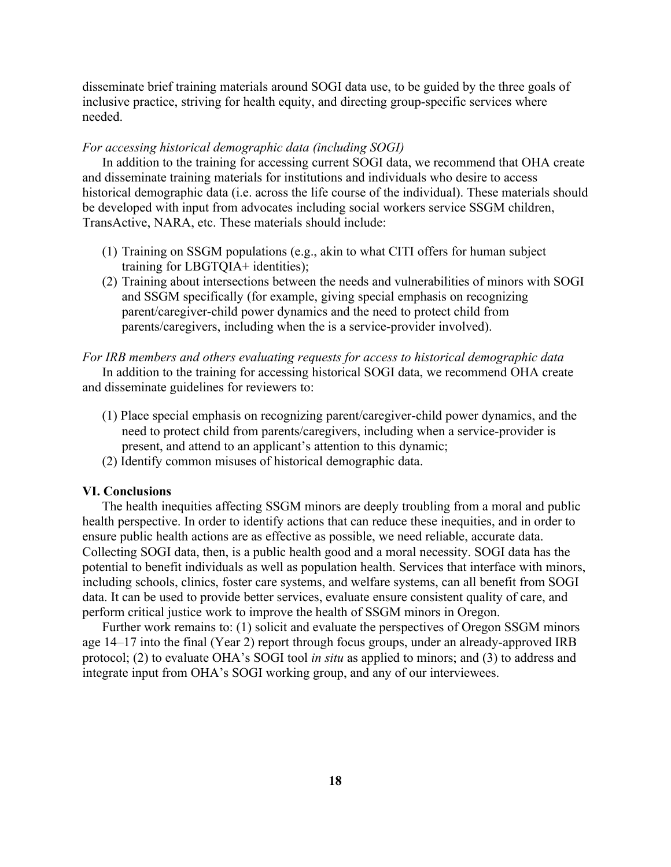disseminate brief training materials around SOGI data use, to be guided by the three goals of inclusive practice, striving for health equity, and directing group-specific services where needed.

### *For accessing historical demographic data (including SOGI)*

In addition to the training for accessing current SOGI data, we recommend that OHA create and disseminate training materials for institutions and individuals who desire to access historical demographic data (i.e. across the life course of the individual). These materials should be developed with input from advocates including social workers service SSGM children, TransActive, NARA, etc. These materials should include:

- (1) Training on SSGM populations (e.g., akin to what CITI offers for human subject training for LBGTQIA+ identities);
- (2) Training about intersections between the needs and vulnerabilities of minors with SOGI and SSGM specifically (for example, giving special emphasis on recognizing parent/caregiver-child power dynamics and the need to protect child from parents/caregivers, including when the is a service-provider involved).

## *For IRB members and others evaluating requests for access to historical demographic data*

In addition to the training for accessing historical SOGI data, we recommend OHA create and disseminate guidelines for reviewers to:

- (1) Place special emphasis on recognizing parent/caregiver-child power dynamics, and the need to protect child from parents/caregivers, including when a service-provider is present, and attend to an applicant's attention to this dynamic;
- (2) Identify common misuses of historical demographic data.

### **VI. Conclusions**

The health inequities affecting SSGM minors are deeply troubling from a moral and public health perspective. In order to identify actions that can reduce these inequities, and in order to ensure public health actions are as effective as possible, we need reliable, accurate data. Collecting SOGI data, then, is a public health good and a moral necessity. SOGI data has the potential to benefit individuals as well as population health. Services that interface with minors, including schools, clinics, foster care systems, and welfare systems, can all benefit from SOGI data. It can be used to provide better services, evaluate ensure consistent quality of care, and perform critical justice work to improve the health of SSGM minors in Oregon.

Further work remains to: (1) solicit and evaluate the perspectives of Oregon SSGM minors age 14–17 into the final (Year 2) report through focus groups, under an already-approved IRB protocol; (2) to evaluate OHA's SOGI tool *in situ* as applied to minors; and (3) to address and integrate input from OHA's SOGI working group, and any of our interviewees.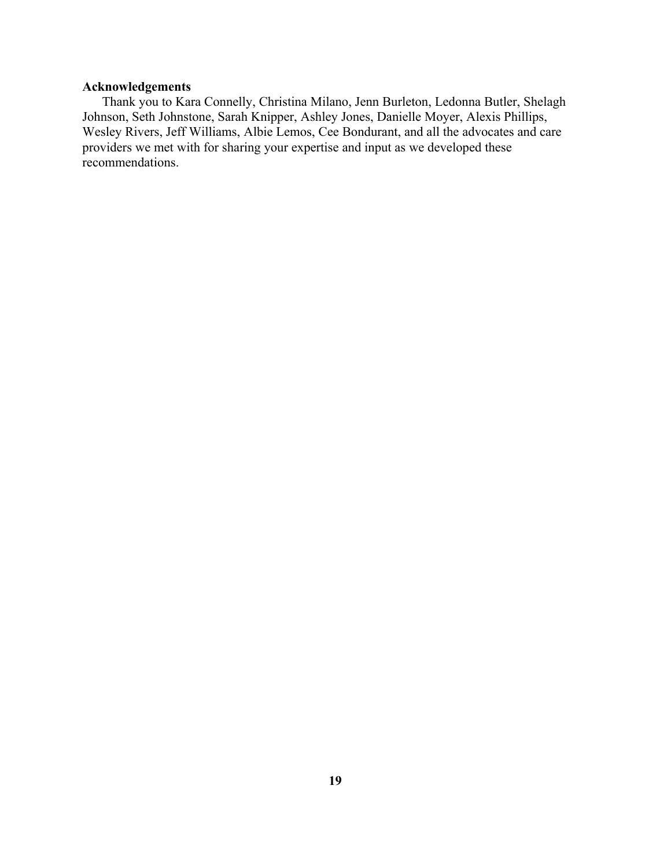# **Acknowledgements**

Thank you to Kara Connelly, Christina Milano, Jenn Burleton, Ledonna Butler, Shelagh Johnson, Seth Johnstone, Sarah Knipper, Ashley Jones, Danielle Moyer, Alexis Phillips, Wesley Rivers, Jeff Williams, Albie Lemos, Cee Bondurant, and all the advocates and care providers we met with for sharing your expertise and input as we developed these recommendations.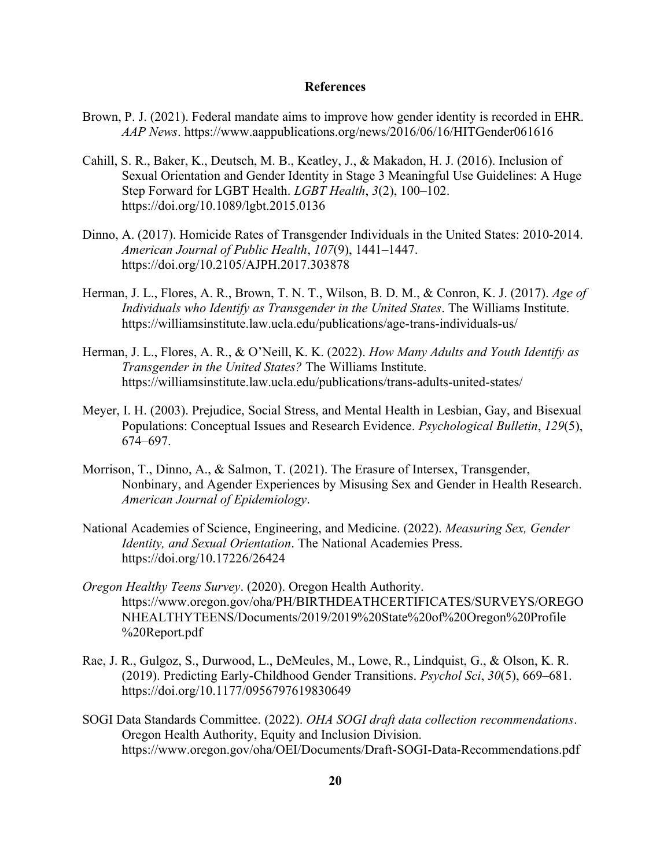### **References**

- Brown, P. J. (2021). Federal mandate aims to improve how gender identity is recorded in EHR. *AAP News*. https://www.aappublications.org/news/2016/06/16/HITGender061616
- Cahill, S. R., Baker, K., Deutsch, M. B., Keatley, J., & Makadon, H. J. (2016). Inclusion of Sexual Orientation and Gender Identity in Stage 3 Meaningful Use Guidelines: A Huge Step Forward for LGBT Health. *LGBT Health*, *3*(2), 100–102. https://doi.org/10.1089/lgbt.2015.0136
- Dinno, A. (2017). Homicide Rates of Transgender Individuals in the United States: 2010-2014. *American Journal of Public Health*, *107*(9), 1441–1447. https://doi.org/10.2105/AJPH.2017.303878
- Herman, J. L., Flores, A. R., Brown, T. N. T., Wilson, B. D. M., & Conron, K. J. (2017). *Age of Individuals who Identify as Transgender in the United States*. The Williams Institute. https://williamsinstitute.law.ucla.edu/publications/age-trans-individuals-us/
- Herman, J. L., Flores, A. R., & O'Neill, K. K. (2022). *How Many Adults and Youth Identify as Transgender in the United States?* The Williams Institute. https://williamsinstitute.law.ucla.edu/publications/trans-adults-united-states/
- Meyer, I. H. (2003). Prejudice, Social Stress, and Mental Health in Lesbian, Gay, and Bisexual Populations: Conceptual Issues and Research Evidence. *Psychological Bulletin*, *129*(5), 674–697.
- Morrison, T., Dinno, A., & Salmon, T. (2021). The Erasure of Intersex, Transgender, Nonbinary, and Agender Experiences by Misusing Sex and Gender in Health Research. *American Journal of Epidemiology*.
- National Academies of Science, Engineering, and Medicine. (2022). *Measuring Sex, Gender Identity, and Sexual Orientation*. The National Academies Press. https://doi.org/10.17226/26424
- *Oregon Healthy Teens Survey*. (2020). Oregon Health Authority. https://www.oregon.gov/oha/PH/BIRTHDEATHCERTIFICATES/SURVEYS/OREGO NHEALTHYTEENS/Documents/2019/2019%20State%20of%20Oregon%20Profile %20Report.pdf
- Rae, J. R., Gulgoz, S., Durwood, L., DeMeules, M., Lowe, R., Lindquist, G., & Olson, K. R. (2019). Predicting Early-Childhood Gender Transitions. *Psychol Sci*, *30*(5), 669–681. https://doi.org/10.1177/0956797619830649
- SOGI Data Standards Committee. (2022). *OHA SOGI draft data collection recommendations*. Oregon Health Authority, Equity and Inclusion Division. https://www.oregon.gov/oha/OEI/Documents/Draft-SOGI-Data-Recommendations.pdf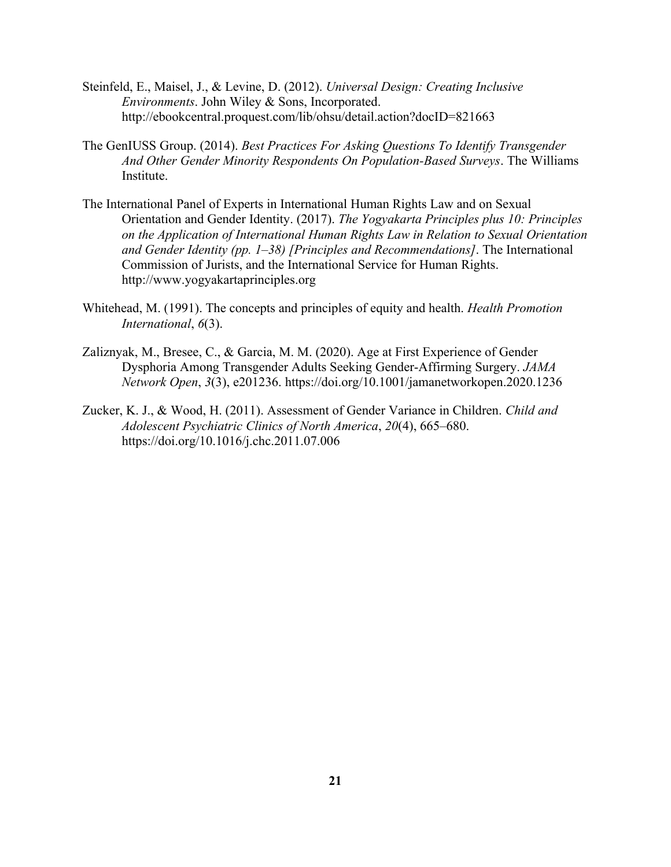- Steinfeld, E., Maisel, J., & Levine, D. (2012). *Universal Design: Creating Inclusive Environments*. John Wiley & Sons, Incorporated. http://ebookcentral.proquest.com/lib/ohsu/detail.action?docID=821663
- The GenIUSS Group. (2014). *Best Practices For Asking Questions To Identify Transgender And Other Gender Minority Respondents On Population-Based Surveys*. The Williams Institute.
- The International Panel of Experts in International Human Rights Law and on Sexual Orientation and Gender Identity. (2017). *The Yogyakarta Principles plus 10: Principles on the Application of International Human Rights Law in Relation to Sexual Orientation and Gender Identity (pp. 1–38) [Principles and Recommendations]*. The International Commission of Jurists, and the International Service for Human Rights. http://www.yogyakartaprinciples.org
- Whitehead, M. (1991). The concepts and principles of equity and health. *Health Promotion International*, *6*(3).
- Zaliznyak, M., Bresee, C., & Garcia, M. M. (2020). Age at First Experience of Gender Dysphoria Among Transgender Adults Seeking Gender-Affirming Surgery. *JAMA Network Open*, *3*(3), e201236. https://doi.org/10.1001/jamanetworkopen.2020.1236
- Zucker, K. J., & Wood, H. (2011). Assessment of Gender Variance in Children. *Child and Adolescent Psychiatric Clinics of North America*, *20*(4), 665–680. https://doi.org/10.1016/j.chc.2011.07.006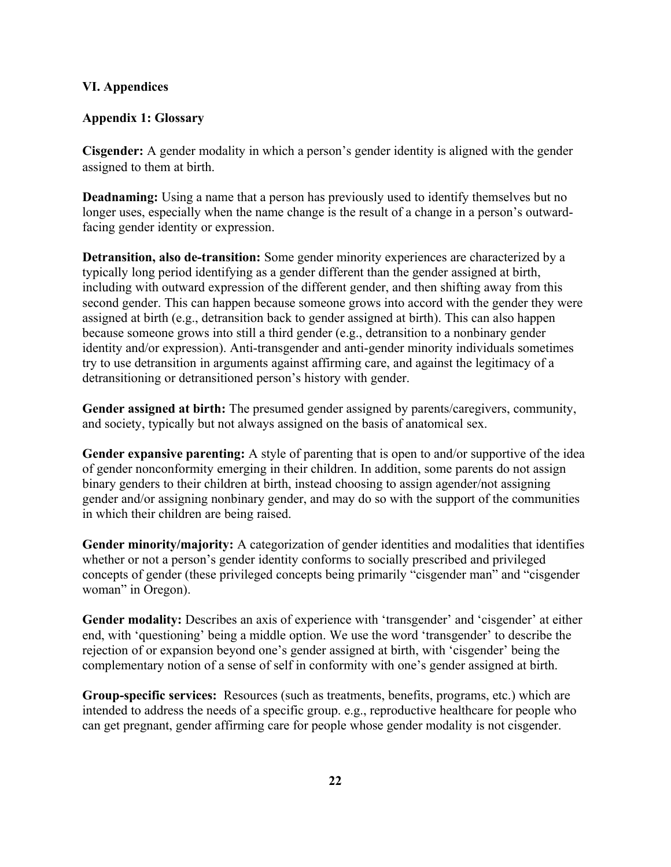# **VI. Appendices**

# **Appendix 1: Glossary**

**Cisgender:** A gender modality in which a person's gender identity is aligned with the gender assigned to them at birth.

**Deadnaming:** Using a name that a person has previously used to identify themselves but no longer uses, especially when the name change is the result of a change in a person's outwardfacing gender identity or expression.

**Detransition, also de-transition:** Some gender minority experiences are characterized by a typically long period identifying as a gender different than the gender assigned at birth, including with outward expression of the different gender, and then shifting away from this second gender. This can happen because someone grows into accord with the gender they were assigned at birth (e.g., detransition back to gender assigned at birth). This can also happen because someone grows into still a third gender (e.g., detransition to a nonbinary gender identity and/or expression). Anti-transgender and anti-gender minority individuals sometimes try to use detransition in arguments against affirming care, and against the legitimacy of a detransitioning or detransitioned person's history with gender.

**Gender assigned at birth:** The presumed gender assigned by parents/caregivers, community, and society, typically but not always assigned on the basis of anatomical sex.

**Gender expansive parenting:** A style of parenting that is open to and/or supportive of the idea of gender nonconformity emerging in their children. In addition, some parents do not assign binary genders to their children at birth, instead choosing to assign agender/not assigning gender and/or assigning nonbinary gender, and may do so with the support of the communities in which their children are being raised.

**Gender minority/majority:** A categorization of gender identities and modalities that identifies whether or not a person's gender identity conforms to socially prescribed and privileged concepts of gender (these privileged concepts being primarily "cisgender man" and "cisgender woman" in Oregon).

**Gender modality:** Describes an axis of experience with 'transgender' and 'cisgender' at either end, with 'questioning' being a middle option. We use the word 'transgender' to describe the rejection of or expansion beyond one's gender assigned at birth, with 'cisgender' being the complementary notion of a sense of self in conformity with one's gender assigned at birth.

**Group-specific services:** Resources (such as treatments, benefits, programs, etc.) which are intended to address the needs of a specific group. e.g., reproductive healthcare for people who can get pregnant, gender affirming care for people whose gender modality is not cisgender.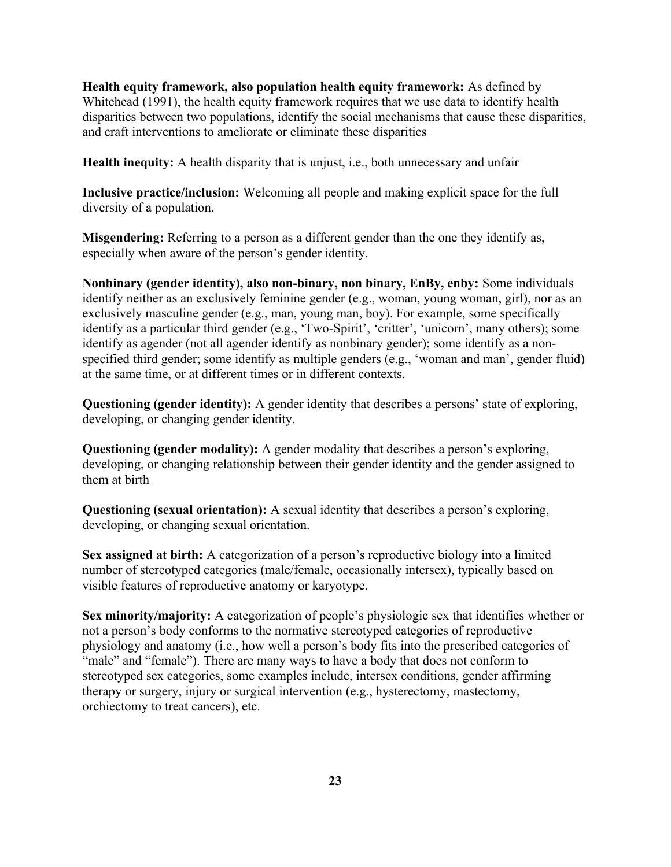**Health equity framework, also population health equity framework:** As defined by Whitehead (1991), the health equity framework requires that we use data to identify health disparities between two populations, identify the social mechanisms that cause these disparities, and craft interventions to ameliorate or eliminate these disparities

**Health inequity:** A health disparity that is unjust, i.e., both unnecessary and unfair

**Inclusive practice/inclusion:** Welcoming all people and making explicit space for the full diversity of a population.

**Misgendering:** Referring to a person as a different gender than the one they identify as, especially when aware of the person's gender identity.

**Nonbinary (gender identity), also non-binary, non binary, EnBy, enby:** Some individuals identify neither as an exclusively feminine gender (e.g., woman, young woman, girl), nor as an exclusively masculine gender (e.g., man, young man, boy). For example, some specifically identify as a particular third gender (e.g., 'Two-Spirit', 'critter', 'unicorn', many others); some identify as agender (not all agender identify as nonbinary gender); some identify as a nonspecified third gender; some identify as multiple genders (e.g., 'woman and man', gender fluid) at the same time, or at different times or in different contexts.

**Questioning (gender identity):** A gender identity that describes a persons' state of exploring, developing, or changing gender identity.

**Questioning (gender modality):** A gender modality that describes a person's exploring, developing, or changing relationship between their gender identity and the gender assigned to them at birth

**Questioning (sexual orientation):** A sexual identity that describes a person's exploring, developing, or changing sexual orientation.

**Sex assigned at birth:** A categorization of a person's reproductive biology into a limited number of stereotyped categories (male/female, occasionally intersex), typically based on visible features of reproductive anatomy or karyotype.

**Sex minority/majority:** A categorization of people's physiologic sex that identifies whether or not a person's body conforms to the normative stereotyped categories of reproductive physiology and anatomy (i.e., how well a person's body fits into the prescribed categories of "male" and "female"). There are many ways to have a body that does not conform to stereotyped sex categories, some examples include, intersex conditions, gender affirming therapy or surgery, injury or surgical intervention (e.g., hysterectomy, mastectomy, orchiectomy to treat cancers), etc.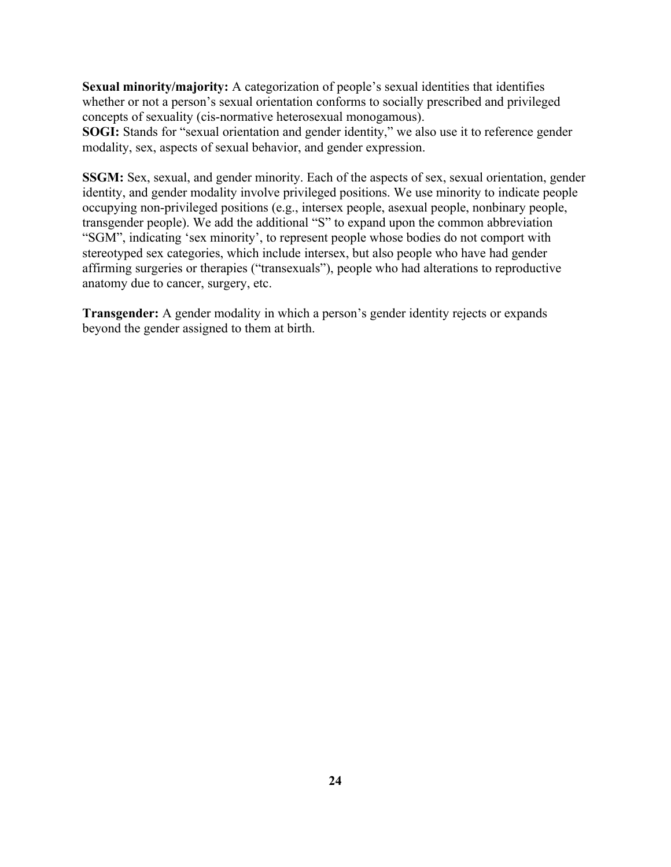**Sexual minority/majority:** A categorization of people's sexual identities that identifies whether or not a person's sexual orientation conforms to socially prescribed and privileged concepts of sexuality (cis-normative heterosexual monogamous).

**SOGI:** Stands for "sexual orientation and gender identity," we also use it to reference gender modality, sex, aspects of sexual behavior, and gender expression.

**SSGM:** Sex, sexual, and gender minority. Each of the aspects of sex, sexual orientation, gender identity, and gender modality involve privileged positions. We use minority to indicate people occupying non-privileged positions (e.g., intersex people, asexual people, nonbinary people, transgender people). We add the additional "S" to expand upon the common abbreviation "SGM", indicating 'sex minority', to represent people whose bodies do not comport with stereotyped sex categories, which include intersex, but also people who have had gender affirming surgeries or therapies ("transexuals"), people who had alterations to reproductive anatomy due to cancer, surgery, etc.

**Transgender:** A gender modality in which a person's gender identity rejects or expands beyond the gender assigned to them at birth.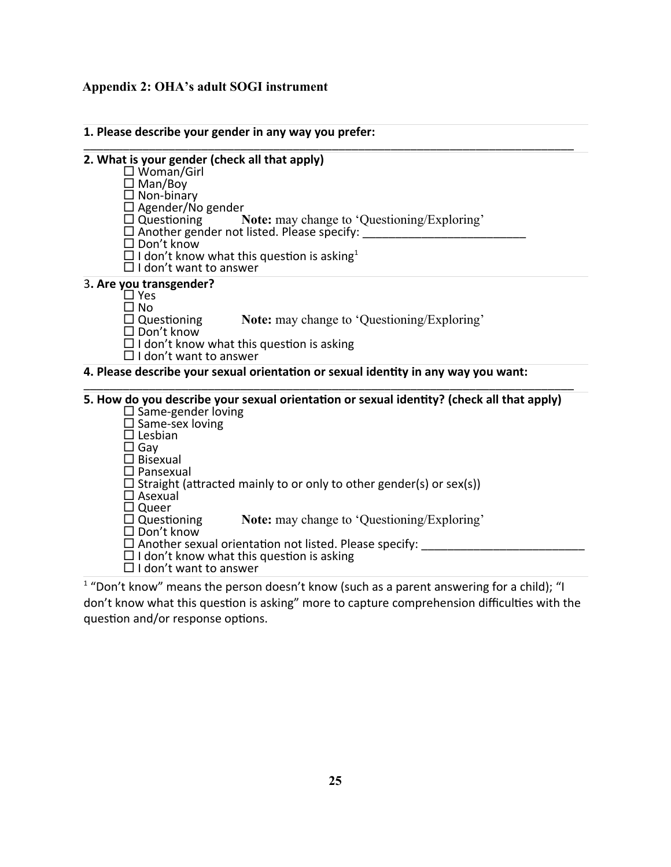# **Appendix 2: OHA's adult SOGI instrument**

| 2. What is your gender (check all that apply)<br>$\square$ Woman/Girl<br>$\Box$ Man/Boy<br>$\Box$ Non-binary<br>$\Box$ Agender/No gender<br>$\Box$ Questioning<br>$\Box$ Don't know<br>$\Box$ I don't want to answer   | <b>Note:</b> may change to 'Questioning/Exploring'<br>□ Another gender not listed. Please specify: ___________________________________<br>$\Box$ I don't know what this question is asking <sup>1</sup>                                                                                                                                            |
|------------------------------------------------------------------------------------------------------------------------------------------------------------------------------------------------------------------------|----------------------------------------------------------------------------------------------------------------------------------------------------------------------------------------------------------------------------------------------------------------------------------------------------------------------------------------------------|
| 3. Are you transgender?<br>$\Box$ Yes<br>∩ No<br>$\Box$ Questioning<br>$\square$ Don't know<br>$\Box$ I don't want to answer                                                                                           | <b>Note:</b> may change to 'Questioning/Exploring'<br>$\Box$ I don't know what this question is asking                                                                                                                                                                                                                                             |
|                                                                                                                                                                                                                        | 4. Please describe your sexual orientation or sexual identity in any way you want:                                                                                                                                                                                                                                                                 |
| $\square$ Same-gender loving<br>$\square$ Same-sex loving<br>$\Box$ Lesbian<br>$\square$ Gay<br>$\Box$ Bisexual<br>$\Box$ Pansexual<br>$\square$ Asexual<br>$\square$ Queer<br>$\Box$ Questioning<br>$\Box$ Don't know | 5. How do you describe your sexual orientation or sexual identity? (check all that apply)<br>$\Box$ Straight (attracted mainly to or only to other gender(s) or sex(s))<br><b>Note:</b> may change to 'Questioning/Exploring'<br>$\Box$ Another sexual orientation not listed. Please specify:<br>$\Box$ I don't know what this question is asking |

 "Don't know" means the person doesn't know (such as a parent answering for a child); "I don't know what this question is asking" more to capture comprehension difficulties with the question and/or response options.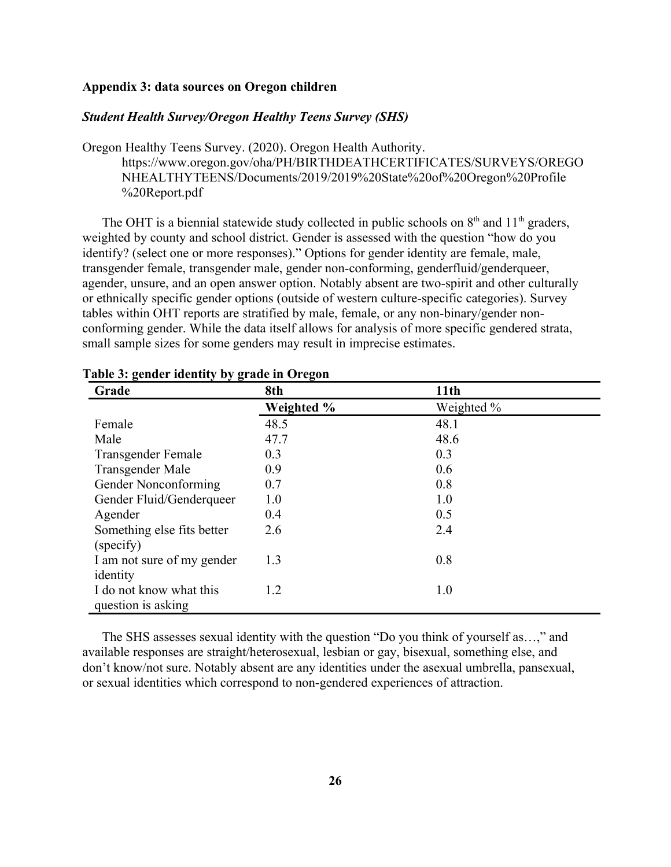## **Appendix 3: data sources on Oregon children**

# *Student Health Survey/Oregon Healthy Teens Survey (SHS)*

Oregon Healthy Teens Survey. (2020). Oregon Health Authority. [https://www.oregon.gov/oha/PH/BIRTHDEATHCERTIFICATES/SURVEYS/OREGO](https://www.oregon.gov/oha/PH/BIRTHDEATHCERTIFICATES/SURVEYS/OREGONHEALTHYTEENS/Documents/2019/2019%20State%20of%20Oregon%20Profile%20Report.pdf) [NHEALTHYTEENS/Documents/2019/2019%20State%20of%20Oregon%20Profile](https://www.oregon.gov/oha/PH/BIRTHDEATHCERTIFICATES/SURVEYS/OREGONHEALTHYTEENS/Documents/2019/2019%20State%20of%20Oregon%20Profile%20Report.pdf) [%20Report.pdf](https://www.oregon.gov/oha/PH/BIRTHDEATHCERTIFICATES/SURVEYS/OREGONHEALTHYTEENS/Documents/2019/2019%20State%20of%20Oregon%20Profile%20Report.pdf)

The OHT is a biennial statewide study collected in public schools on  $8<sup>th</sup>$  and  $11<sup>th</sup>$  graders, weighted by county and school district. Gender is assessed with the question "how do you identify? (select one or more responses)." Options for gender identity are female, male, transgender female, transgender male, gender non-conforming, genderfluid/genderqueer, agender, unsure, and an open answer option. Notably absent are two-spirit and other culturally or ethnically specific gender options (outside of western culture-specific categories). Survey tables within OHT reports are stratified by male, female, or any non-binary/gender nonconforming gender. While the data itself allows for analysis of more specific gendered strata, small sample sizes for some genders may result in imprecise estimates.

| o<br>$\ddot{\phantom{0}}$<br>Grade | o<br>8th   | 11 <sub>th</sub> |
|------------------------------------|------------|------------------|
|                                    | Weighted % | Weighted %       |
| Female                             | 48.5       | 48.1             |
| Male                               | 47.7       | 48.6             |
| Transgender Female                 | 0.3        | 0.3              |
| Transgender Male                   | 0.9        | 0.6              |
| Gender Nonconforming               | 0.7        | 0.8              |
| Gender Fluid/Genderqueer           | 1.0        | 1.0              |
| Agender                            | 0.4        | 0.5              |
| Something else fits better         | 2.6        | 2.4              |
| (specify)                          |            |                  |
| I am not sure of my gender         | 1.3        | 0.8              |
| identity                           |            |                  |
| I do not know what this            | 1.2        | 1.0              |
| question is asking                 |            |                  |

## **Table 3: gender identity by grade in Oregon**

The SHS assesses sexual identity with the question "Do you think of yourself as…," and available responses are straight/heterosexual, lesbian or gay, bisexual, something else, and don't know/not sure. Notably absent are any identities under the asexual umbrella, pansexual, or sexual identities which correspond to non-gendered experiences of attraction.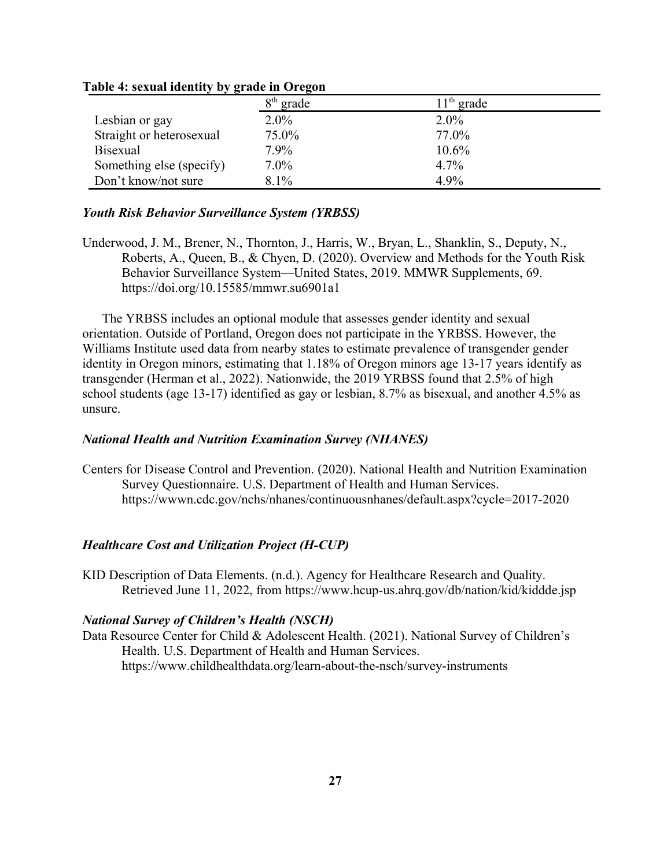|                          | $8th$ grade | $11th$ grade |
|--------------------------|-------------|--------------|
| Lesbian or gay           | $2.0\%$     | $2.0\%$      |
| Straight or heterosexual | 75.0%       | 77.0%        |
| <b>Bisexual</b>          | 7.9%        | $10.6\%$     |
| Something else (specify) | $7.0\%$     | $4.7\%$      |
| Don't know/not sure      | 8.1%        | 4.9%         |

#### **Table 4: sexual identity by grade in Oregon**

### *Youth Risk Behavior Surveillance System (YRBSS)*

Underwood, J. M., Brener, N., Thornton, J., Harris, W., Bryan, L., Shanklin, S., Deputy, N., Roberts, A., Queen, B., & Chyen, D. (2020). Overview and Methods for the Youth Risk Behavior Surveillance System—United States, 2019. MMWR Supplements, 69. <https://doi.org/10.15585/mmwr.su6901a1>

The YRBSS includes an optional module that assesses gender identity and sexual orientation. Outside of Portland, Oregon does not participate in the YRBSS. However, the Williams Institute used data from nearby states to estimate prevalence of transgender gender identity in Oregon minors, estimating that 1.18% of Oregon minors age 13-17 years identify as transgender (Herman et al., 2022). Nationwide, the 2019 YRBSS found that 2.5% of high school students (age 13-17) identified as gay or lesbian, 8.7% as bisexual, and another 4.5% as unsure.

### *National Health and Nutrition Examination Survey (NHANES)*

Centers for Disease Control and Prevention. (2020). National Health and Nutrition Examination Survey Questionnaire. U.S. Department of Health and Human Services. <https://wwwn.cdc.gov/nchs/nhanes/continuousnhanes/default.aspx?cycle=2017-2020>

# *Healthcare Cost and Utilization Project (H-CUP)*

KID Description of Data Elements. (n.d.). Agency for Healthcare Research and Quality. Retrieved June 11, 2022, from https://www.hcup-us.ahrq.gov/db/nation/kid/kiddde.jsp

### *National Survey of Children's Health (NSCH)*

Data Resource Center for Child & Adolescent Health. (2021). National Survey of Children's Health. U.S. Department of Health and Human Services. https://www.childhealthdata.org/learn-about-the-nsch/survey-instruments